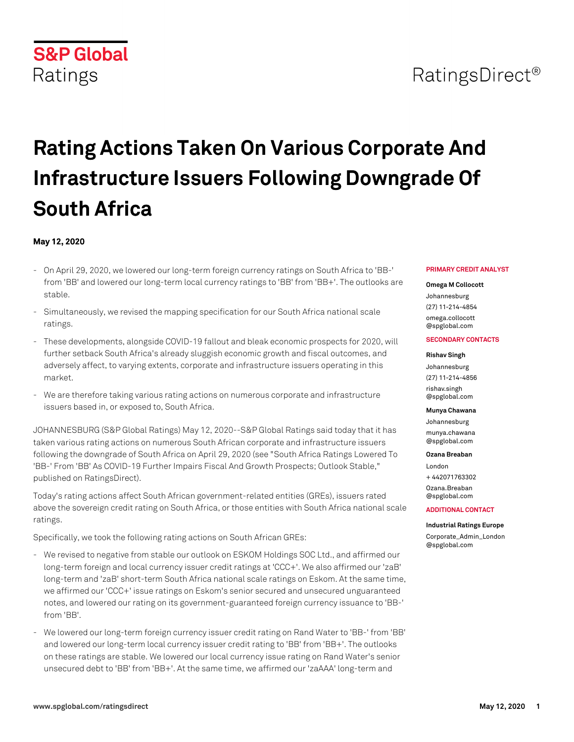# RatingsDirect<sup>®</sup>

# **Rating Actions Taken On Various Corporate And Infrastructure Issuers Following Downgrade Of South Africa**

### **May 12, 2020**

**S&P Global** 

Ratings

- On April 29, 2020, we lowered our long-term foreign currency ratings on South Africa to 'BB-' from 'BB' and lowered our long-term local currency ratings to 'BB' from 'BB+'. The outlooks are stable.
- Simultaneously, we revised the mapping specification for our South Africa national scale ratings.
- These developments, alongside COVID-19 fallout and bleak economic prospects for 2020, will further setback South Africa's already sluggish economic growth and fiscal outcomes, and adversely affect, to varying extents, corporate and infrastructure issuers operating in this market.
- We are therefore taking various rating actions on numerous corporate and infrastructure issuers based in, or exposed to, South Africa.

JOHANNESBURG (S&P Global Ratings) May 12, 2020--S&P Global Ratings said today that it has taken various rating actions on numerous South African corporate and infrastructure issuers following the downgrade of South Africa on April 29, 2020 (see "South Africa Ratings Lowered To 'BB-' From 'BB' As COVID-19 Further Impairs Fiscal And Growth Prospects; Outlook Stable," published on RatingsDirect).

Today's rating actions affect South African government-related entities (GREs), issuers rated above the sovereign credit rating on South Africa, or those entities with South Africa national scale ratings.

Specifically, we took the following rating actions on South African GREs:

- We revised to negative from stable our outlook on ESKOM Holdings SOC Ltd., and affirmed our long-term foreign and local currency issuer credit ratings at 'CCC+'. We also affirmed our 'zaB' long-term and 'zaB' short-term South Africa national scale ratings on Eskom. At the same time, we affirmed our 'CCC+' issue ratings on Eskom's senior secured and unsecured unguaranteed notes, and lowered our rating on its government-guaranteed foreign currency issuance to 'BB-' from 'BB'.
- We lowered our long-term foreign currency issuer credit rating on Rand Water to 'BB-' from 'BB' and lowered our long-term local currency issuer credit rating to 'BB' from 'BB+'. The outlooks on these ratings are stable. We lowered our local currency issue rating on Rand Water's senior unsecured debt to 'BB' from 'BB+'. At the same time, we affirmed our 'zaAAA' long-term and

#### **PRIMARY CREDIT ANALYST**

#### **Omega M Collocott**

Johannesburg (27) 11-214-4854 [omega.collocott](mailto: omega.collocott@spglobal.com) [@spglobal.com](mailto: omega.collocott@spglobal.com)

#### **SECONDARY CONTACTS**

# **Rishav Singh**

Johannesburg (27) 11-214-4856 [rishav.singh](mailto: rishav.singh@spglobal.com) [@spglobal.com](mailto: rishav.singh@spglobal.com)

#### **Munya Chawana**

Johannesburg [munya.chawana](mailto: munya.chawana@spglobal.com) [@spglobal.com](mailto: munya.chawana@spglobal.com)

#### **Ozana Breaban**

London + 442071763302 [Ozana.Breaban](mailto: Ozana.Breaban@spglobal.com) [@spglobal.com](mailto: Ozana.Breaban@spglobal.com)

#### **ADDITIONAL CONTACT**

#### **Industrial Ratings Europe**

[Corporate\\_Admin\\_London](mailto: Corporate_Admin_London@spglobal.com) [@spglobal.com](mailto: Corporate_Admin_London@spglobal.com)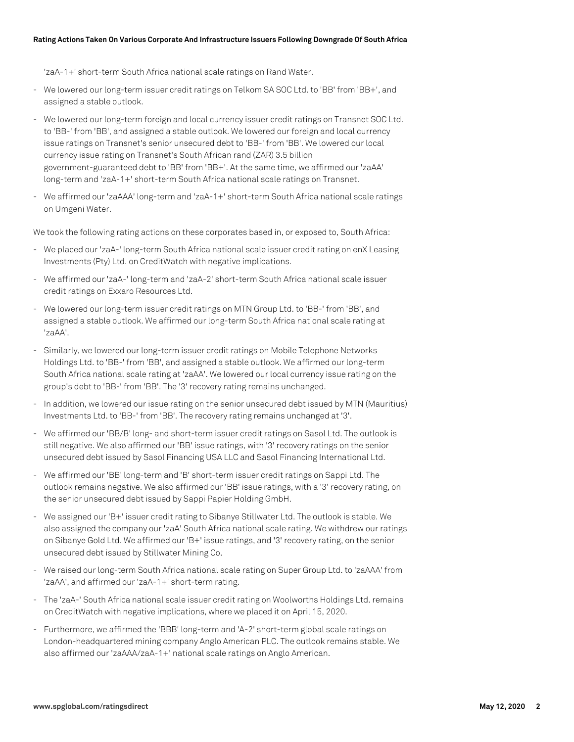'zaA-1+' short-term South Africa national scale ratings on Rand Water.

- We lowered our long-term issuer credit ratings on Telkom SA SOC Ltd. to 'BB' from 'BB+', and assigned a stable outlook.
- We lowered our long-term foreign and local currency issuer credit ratings on Transnet SOC Ltd. to 'BB-' from 'BB', and assigned a stable outlook. We lowered our foreign and local currency issue ratings on Transnet's senior unsecured debt to 'BB-' from 'BB'. We lowered our local currency issue rating on Transnet's South African rand (ZAR) 3.5 billion government-guaranteed debt to 'BB' from 'BB+'. At the same time, we affirmed our 'zaAA' long-term and 'zaA-1+' short-term South Africa national scale ratings on Transnet.
- We affirmed our 'zaAAA' long-term and 'zaA-1+' short-term South Africa national scale ratings on Umgeni Water.

We took the following rating actions on these corporates based in, or exposed to, South Africa:

- We placed our 'zaA-' long-term South Africa national scale issuer credit rating on enX Leasing Investments (Pty) Ltd. on CreditWatch with negative implications.
- We affirmed our 'zaA-' long-term and 'zaA-2' short-term South Africa national scale issuer credit ratings on Exxaro Resources Ltd.
- We lowered our long-term issuer credit ratings on MTN Group Ltd. to 'BB-' from 'BB', and assigned a stable outlook. We affirmed our long-term South Africa national scale rating at 'zaAA'.
- Similarly, we lowered our long-term issuer credit ratings on Mobile Telephone Networks Holdings Ltd. to 'BB-' from 'BB', and assigned a stable outlook. We affirmed our long-term South Africa national scale rating at 'zaAA'. We lowered our local currency issue rating on the group's debt to 'BB-' from 'BB'. The '3' recovery rating remains unchanged.
- In addition, we lowered our issue rating on the senior unsecured debt issued by MTN (Mauritius) Investments Ltd. to 'BB-' from 'BB'. The recovery rating remains unchanged at '3'.
- We affirmed our 'BB/B' long- and short-term issuer credit ratings on Sasol Ltd. The outlook is still negative. We also affirmed our 'BB' issue ratings, with '3' recovery ratings on the senior unsecured debt issued by Sasol Financing USA LLC and Sasol Financing International Ltd.
- We affirmed our 'BB' long-term and 'B' short-term issuer credit ratings on Sappi Ltd. The outlook remains negative. We also affirmed our 'BB' issue ratings, with a '3' recovery rating, on the senior unsecured debt issued by Sappi Papier Holding GmbH.
- We assigned our 'B+' issuer credit rating to Sibanye Stillwater Ltd. The outlook is stable. We also assigned the company our 'zaA' South Africa national scale rating. We withdrew our ratings on Sibanye Gold Ltd. We affirmed our 'B+' issue ratings, and '3' recovery rating, on the senior unsecured debt issued by Stillwater Mining Co.
- We raised our long-term South Africa national scale rating on Super Group Ltd. to 'zaAAA' from 'zaAA', and affirmed our 'zaA-1+' short-term rating.
- The 'zaA-' South Africa national scale issuer credit rating on Woolworths Holdings Ltd. remains on CreditWatch with negative implications, where we placed it on April 15, 2020.
- Furthermore, we affirmed the 'BBB' long-term and 'A-2' short-term global scale ratings on London-headquartered mining company Anglo American PLC. The outlook remains stable. We also affirmed our 'zaAAA/zaA-1+' national scale ratings on Anglo American.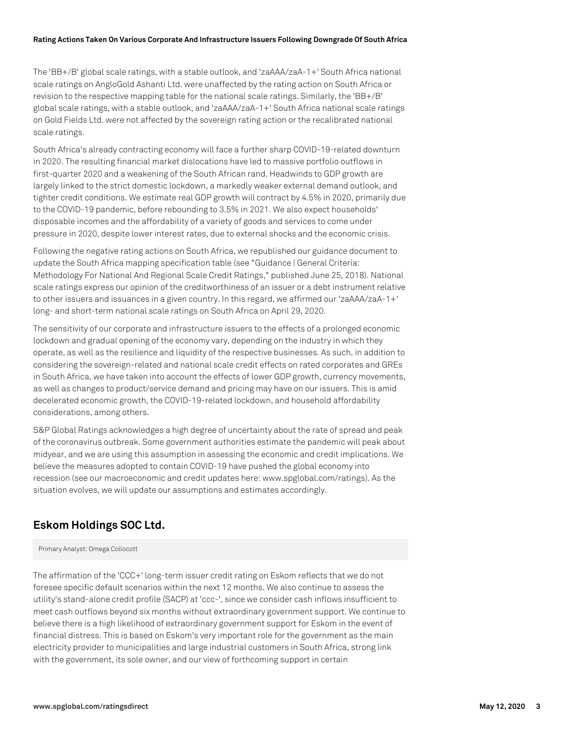The 'BB+/B' global scale ratings, with a stable outlook, and 'zaAAA/zaA-1+' South Africa national scale ratings on AngloGold Ashanti Ltd. were unaffected by the rating action on South Africa or revision to the respective mapping table for the national scale ratings. Similarly, the 'BB+/B' global scale ratings, with a stable outlook, and 'zaAAA/zaA-1+' South Africa national scale ratings on Gold Fields Ltd. were not affected by the sovereign rating action or the recalibrated national scale ratings.

South Africa's already contracting economy will face a further sharp COVID-19-related downturn in 2020. The resulting financial market dislocations have led to massive portfolio outflows in first-quarter 2020 and a weakening of the South African rand. Headwinds to GDP growth are largely linked to the strict domestic lockdown, a markedly weaker external demand outlook, and tighter credit conditions. We estimate real GDP growth will contract by 4.5% in 2020, primarily due to the COVID-19 pandemic, before rebounding to 3.5% in 2021. We also expect households' disposable incomes and the affordability of a variety of goods and services to come under pressure in 2020, despite lower interest rates, due to external shocks and the economic crisis.

Following the negative rating actions on South Africa, we republished our guidance document to update the South Africa mapping specification table (see "Guidance | General Criteria: Methodology For National And Regional Scale Credit Ratings," published June 25, 2018). National scale ratings express our opinion of the creditworthiness of an issuer or a debt instrument relative to other issuers and issuances in a given country. In this regard, we affirmed our 'zaAAA/zaA-1+' long- and short-term national scale ratings on South Africa on April 29, 2020.

The sensitivity of our corporate and infrastructure issuers to the effects of a prolonged economic lockdown and gradual opening of the economy vary, depending on the industry in which they operate, as well as the resilience and liquidity of the respective businesses. As such, in addition to considering the sovereign-related and national scale credit effects on rated corporates and GREs in South Africa, we have taken into account the effects of lower GDP growth, currency movements, as well as changes to product/service demand and pricing may have on our issuers. This is amid decelerated economic growth, the COVID-19-related lockdown, and household affordability considerations, among others.

S&P Global Ratings acknowledges a high degree of uncertainty about the rate of spread and peak of the coronavirus outbreak. Some government authorities estimate the pandemic will peak about midyear, and we are using this assumption in assessing the economic and credit implications. We believe the measures adopted to contain COVID-19 have pushed the global economy into recession (see our macroeconomic and credit updates here: www.spglobal.com/ratings). As the situation evolves, we will update our assumptions and estimates accordingly.

# **Eskom Holdings SOC Ltd.**

Primary Analyst: Omega Collocott

The affirmation of the 'CCC+' long-term issuer credit rating on Eskom reflects that we do not foresee specific default scenarios within the next 12 months. We also continue to assess the utility's stand-alone credit profile (SACP) at 'ccc-', since we consider cash inflows insufficient to meet cash outflows beyond six months without extraordinary government support. We continue to believe there is a high likelihood of extraordinary government support for Eskom in the event of financial distress. This is based on Eskom's very important role for the government as the main electricity provider to municipalities and large industrial customers in South Africa, strong link with the government, its sole owner, and our view of forthcoming support in certain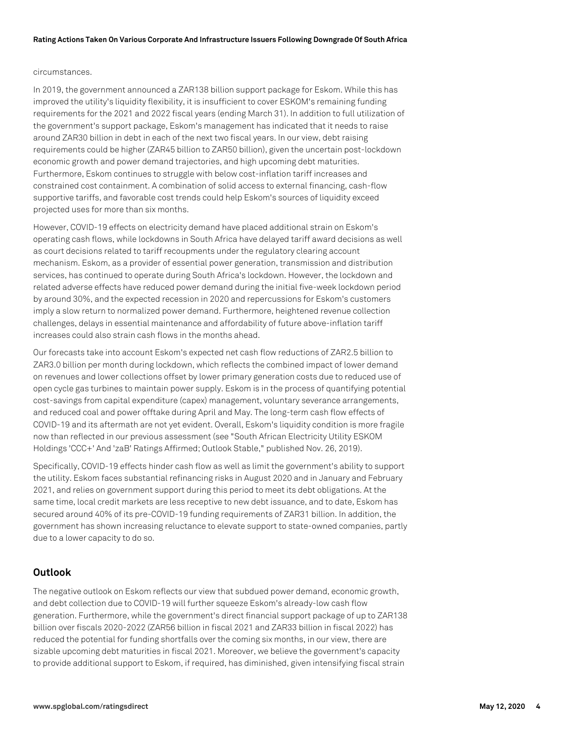#### circumstances.

In 2019, the government announced a ZAR138 billion support package for Eskom. While this has improved the utility's liquidity flexibility, it is insufficient to cover ESKOM's remaining funding requirements for the 2021 and 2022 fiscal years (ending March 31). In addition to full utilization of the government's support package, Eskom's management has indicated that it needs to raise around ZAR30 billion in debt in each of the next two fiscal years. In our view, debt raising requirements could be higher (ZAR45 billion to ZAR50 billion), given the uncertain post-lockdown economic growth and power demand trajectories, and high upcoming debt maturities. Furthermore, Eskom continues to struggle with below cost-inflation tariff increases and constrained cost containment. A combination of solid access to external financing, cash-flow supportive tariffs, and favorable cost trends could help Eskom's sources of liquidity exceed projected uses for more than six months.

However, COVID-19 effects on electricity demand have placed additional strain on Eskom's operating cash flows, while lockdowns in South Africa have delayed tariff award decisions as well as court decisions related to tariff recoupments under the regulatory clearing account mechanism. Eskom, as a provider of essential power generation, transmission and distribution services, has continued to operate during South Africa's lockdown. However, the lockdown and related adverse effects have reduced power demand during the initial five-week lockdown period by around 30%, and the expected recession in 2020 and repercussions for Eskom's customers imply a slow return to normalized power demand. Furthermore, heightened revenue collection challenges, delays in essential maintenance and affordability of future above-inflation tariff increases could also strain cash flows in the months ahead.

Our forecasts take into account Eskom's expected net cash flow reductions of ZAR2.5 billion to ZAR3.0 billion per month during lockdown, which reflects the combined impact of lower demand on revenues and lower collections offset by lower primary generation costs due to reduced use of open cycle gas turbines to maintain power supply. Eskom is in the process of quantifying potential cost-savings from capital expenditure (capex) management, voluntary severance arrangements, and reduced coal and power offtake during April and May. The long-term cash flow effects of COVID-19 and its aftermath are not yet evident. Overall, Eskom's liquidity condition is more fragile now than reflected in our previous assessment (see "South African Electricity Utility ESKOM Holdings 'CCC+' And 'zaB' Ratings Affirmed; Outlook Stable," published Nov. 26, 2019).

Specifically, COVID-19 effects hinder cash flow as well as limit the government's ability to support the utility. Eskom faces substantial refinancing risks in August 2020 and in January and February 2021, and relies on government support during this period to meet its debt obligations. At the same time, local credit markets are less receptive to new debt issuance, and to date, Eskom has secured around 40% of its pre-COVID-19 funding requirements of ZAR31 billion. In addition, the government has shown increasing reluctance to elevate support to state-owned companies, partly due to a lower capacity to do so.

# **Outlook**

The negative outlook on Eskom reflects our view that subdued power demand, economic growth, and debt collection due to COVID-19 will further squeeze Eskom's already-low cash flow generation. Furthermore, while the government's direct financial support package of up to ZAR138 billion over fiscals 2020-2022 (ZAR56 billion in fiscal 2021 and ZAR33 billion in fiscal 2022) has reduced the potential for funding shortfalls over the coming six months, in our view, there are sizable upcoming debt maturities in fiscal 2021. Moreover, we believe the government's capacity to provide additional support to Eskom, if required, has diminished, given intensifying fiscal strain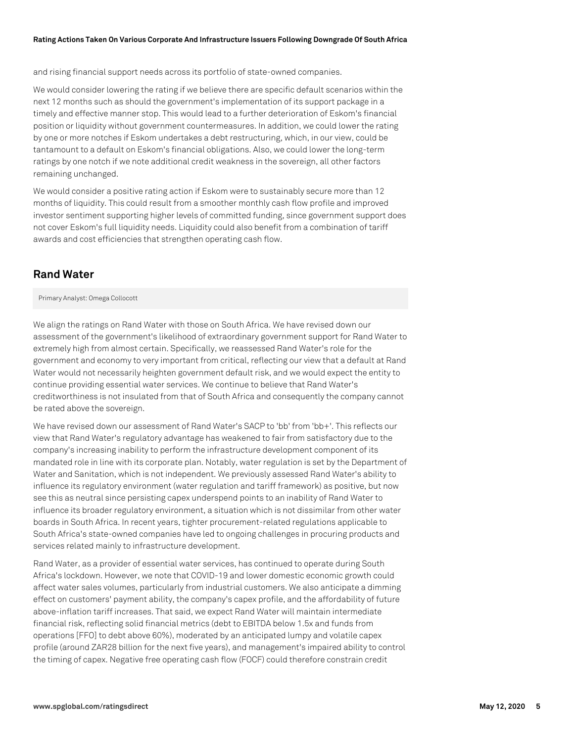and rising financial support needs across its portfolio of state-owned companies.

We would consider lowering the rating if we believe there are specific default scenarios within the next 12 months such as should the government's implementation of its support package in a timely and effective manner stop. This would lead to a further deterioration of Eskom's financial position or liquidity without government countermeasures. In addition, we could lower the rating by one or more notches if Eskom undertakes a debt restructuring, which, in our view, could be tantamount to a default on Eskom's financial obligations. Also, we could lower the long-term ratings by one notch if we note additional credit weakness in the sovereign, all other factors remaining unchanged.

We would consider a positive rating action if Eskom were to sustainably secure more than 12 months of liquidity. This could result from a smoother monthly cash flow profile and improved investor sentiment supporting higher levels of committed funding, since government support does not cover Eskom's full liquidity needs. Liquidity could also benefit from a combination of tariff awards and cost efficiencies that strengthen operating cash flow.

# **Rand Water**

Primary Analyst: Omega Collocott

We align the ratings on Rand Water with those on South Africa. We have revised down our assessment of the government's likelihood of extraordinary government support for Rand Water to extremely high from almost certain. Specifically, we reassessed Rand Water's role for the government and economy to very important from critical, reflecting our view that a default at Rand Water would not necessarily heighten government default risk, and we would expect the entity to continue providing essential water services. We continue to believe that Rand Water's creditworthiness is not insulated from that of South Africa and consequently the company cannot be rated above the sovereign.

We have revised down our assessment of Rand Water's SACP to 'bb' from 'bb+'. This reflects our view that Rand Water's regulatory advantage has weakened to fair from satisfactory due to the company's increasing inability to perform the infrastructure development component of its mandated role in line with its corporate plan. Notably, water regulation is set by the Department of Water and Sanitation, which is not independent. We previously assessed Rand Water's ability to influence its regulatory environment (water regulation and tariff framework) as positive, but now see this as neutral since persisting capex underspend points to an inability of Rand Water to influence its broader regulatory environment, a situation which is not dissimilar from other water boards in South Africa. In recent years, tighter procurement-related regulations applicable to South Africa's state-owned companies have led to ongoing challenges in procuring products and services related mainly to infrastructure development.

Rand Water, as a provider of essential water services, has continued to operate during South Africa's lockdown. However, we note that COVID-19 and lower domestic economic growth could affect water sales volumes, particularly from industrial customers. We also anticipate a dimming effect on customers' payment ability, the company's capex profile, and the affordability of future above-inflation tariff increases. That said, we expect Rand Water will maintain intermediate financial risk, reflecting solid financial metrics (debt to EBITDA below 1.5x and funds from operations [FFO] to debt above 60%), moderated by an anticipated lumpy and volatile capex profile (around ZAR28 billion for the next five years), and management's impaired ability to control the timing of capex. Negative free operating cash flow (FOCF) could therefore constrain credit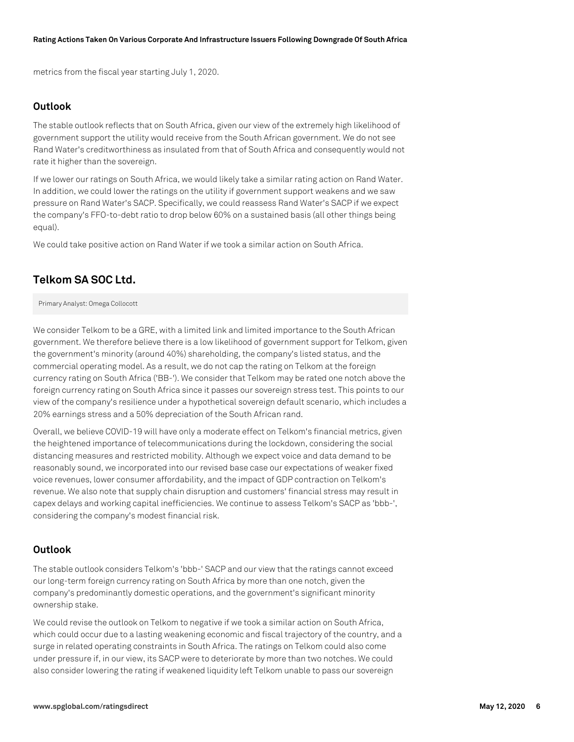metrics from the fiscal year starting July 1, 2020.

### **Outlook**

The stable outlook reflects that on South Africa, given our view of the extremely high likelihood of government support the utility would receive from the South African government. We do not see Rand Water's creditworthiness as insulated from that of South Africa and consequently would not rate it higher than the sovereign.

If we lower our ratings on South Africa, we would likely take a similar rating action on Rand Water. In addition, we could lower the ratings on the utility if government support weakens and we saw pressure on Rand Water's SACP. Specifically, we could reassess Rand Water's SACP if we expect the company's FFO-to-debt ratio to drop below 60% on a sustained basis (all other things being equal).

We could take positive action on Rand Water if we took a similar action on South Africa.

# **Telkom SA SOC Ltd.**

#### Primary Analyst: Omega Collocott

We consider Telkom to be a GRE, with a limited link and limited importance to the South African government. We therefore believe there is a low likelihood of government support for Telkom, given the government's minority (around 40%) shareholding, the company's listed status, and the commercial operating model. As a result, we do not cap the rating on Telkom at the foreign currency rating on South Africa ('BB-'). We consider that Telkom may be rated one notch above the foreign currency rating on South Africa since it passes our sovereign stress test. This points to our view of the company's resilience under a hypothetical sovereign default scenario, which includes a 20% earnings stress and a 50% depreciation of the South African rand.

Overall, we believe COVID-19 will have only a moderate effect on Telkom's financial metrics, given the heightened importance of telecommunications during the lockdown, considering the social distancing measures and restricted mobility. Although we expect voice and data demand to be reasonably sound, we incorporated into our revised base case our expectations of weaker fixed voice revenues, lower consumer affordability, and the impact of GDP contraction on Telkom's revenue. We also note that supply chain disruption and customers' financial stress may result in capex delays and working capital inefficiencies. We continue to assess Telkom's SACP as 'bbb-', considering the company's modest financial risk.

### **Outlook**

The stable outlook considers Telkom's 'bbb-' SACP and our view that the ratings cannot exceed our long-term foreign currency rating on South Africa by more than one notch, given the company's predominantly domestic operations, and the government's significant minority ownership stake.

We could revise the outlook on Telkom to negative if we took a similar action on South Africa, which could occur due to a lasting weakening economic and fiscal trajectory of the country, and a surge in related operating constraints in South Africa. The ratings on Telkom could also come under pressure if, in our view, its SACP were to deteriorate by more than two notches. We could also consider lowering the rating if weakened liquidity left Telkom unable to pass our sovereign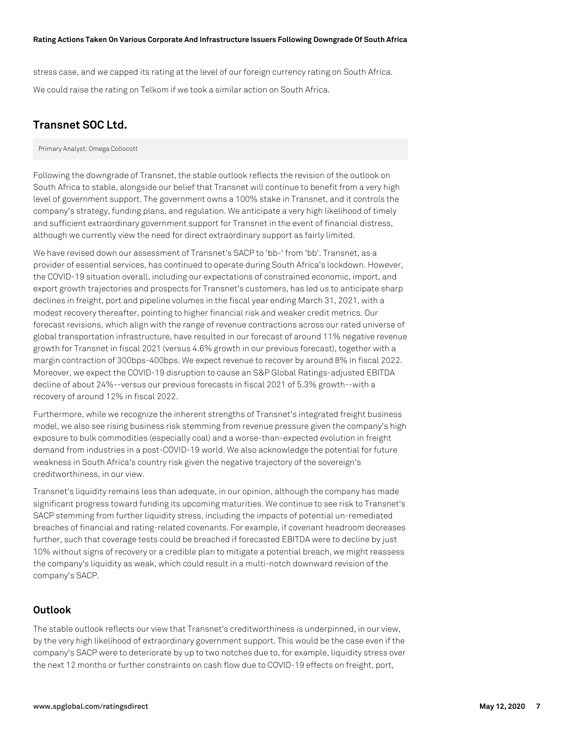stress case, and we capped its rating at the level of our foreign currency rating on South Africa. We could raise the rating on Telkom if we took a similar action on South Africa.

# **Transnet SOC Ltd.**

Primary Analyst: Omega Collocott

Following the downgrade of Transnet, the stable outlook reflects the revision of the outlook on South Africa to stable, alongside our belief that Transnet will continue to benefit from a very high level of government support. The government owns a 100% stake in Transnet, and it controls the company's strategy, funding plans, and regulation. We anticipate a very high likelihood of timely and sufficient extraordinary government support for Transnet in the event of financial distress, although we currently view the need for direct extraordinary support as fairly limited.

We have revised down our assessment of Transnet's SACP to 'bb-' from 'bb'. Transnet, as a provider of essential services, has continued to operate during South Africa's lockdown. However, the COVID-19 situation overall, including our expectations of constrained economic, import, and export growth trajectories and prospects for Transnet's customers, has led us to anticipate sharp declines in freight, port and pipeline volumes in the fiscal year ending March 31, 2021, with a modest recovery thereafter, pointing to higher financial risk and weaker credit metrics. Our forecast revisions, which align with the range of revenue contractions across our rated universe of global transportation infrastructure, have resulted in our forecast of around 11% negative revenue growth for Transnet in fiscal 2021 (versus 4.6% growth in our previous forecast), together with a margin contraction of 300bps-400bps. We expect revenue to recover by around 8% in fiscal 2022. Moreover, we expect the COVID-19 disruption to cause an S&P Global Ratings-adjusted EBITDA decline of about 24%--versus our previous forecasts in fiscal 2021 of 5.3% growth--with a recovery of around 12% in fiscal 2022.

Furthermore, while we recognize the inherent strengths of Transnet's integrated freight business model, we also see rising business risk stemming from revenue pressure given the company's high exposure to bulk commodities (especially coal) and a worse-than-expected evolution in freight demand from industries in a post-COVID-19 world. We also acknowledge the potential for future weakness in South Africa's country risk given the negative trajectory of the sovereign's creditworthiness, in our view.

Transnet's liquidity remains less than adequate, in our opinion, although the company has made significant progress toward funding its upcoming maturities. We continue to see risk to Transnet's SACP stemming from further liquidity stress, including the impacts of potential un-remediated breaches of financial and rating-related covenants. For example, if covenant headroom decreases further, such that coverage tests could be breached if forecasted EBITDA were to decline by just 10% without signs of recovery or a credible plan to mitigate a potential breach, we might reassess the company's liquidity as weak, which could result in a multi-notch downward revision of the company's SACP.

# **Outlook**

The stable outlook reflects our view that Transnet's creditworthiness is underpinned, in our view, by the very high likelihood of extraordinary government support. This would be the case even if the company's SACP were to deteriorate by up to two notches due to, for example, liquidity stress over the next 12 months or further constraints on cash flow due to COVID-19 effects on freight, port,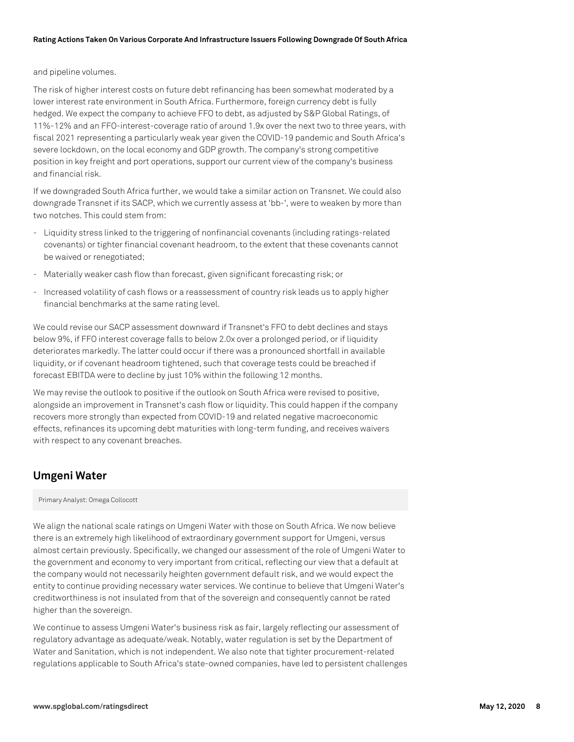#### and pipeline volumes.

The risk of higher interest costs on future debt refinancing has been somewhat moderated by a lower interest rate environment in South Africa. Furthermore, foreign currency debt is fully hedged. We expect the company to achieve FFO to debt, as adjusted by S&P Global Ratings, of 11%-12% and an FFO-interest-coverage ratio of around 1.9x over the next two to three years, with fiscal 2021 representing a particularly weak year given the COVID-19 pandemic and South Africa's severe lockdown, on the local economy and GDP growth. The company's strong competitive position in key freight and port operations, support our current view of the company's business and financial risk.

If we downgraded South Africa further, we would take a similar action on Transnet. We could also downgrade Transnet if its SACP, which we currently assess at 'bb-', were to weaken by more than two notches. This could stem from:

- Liquidity stress linked to the triggering of nonfinancial covenants (including ratings-related covenants) or tighter financial covenant headroom, to the extent that these covenants cannot be waived or renegotiated;
- Materially weaker cash flow than forecast, given significant forecasting risk; or
- Increased volatility of cash flows or a reassessment of country risk leads us to apply higher financial benchmarks at the same rating level.

We could revise our SACP assessment downward if Transnet's FFO to debt declines and stays below 9%, if FFO interest coverage falls to below 2.0x over a prolonged period, or if liquidity deteriorates markedly. The latter could occur if there was a pronounced shortfall in available liquidity, or if covenant headroom tightened, such that coverage tests could be breached if forecast EBITDA were to decline by just 10% within the following 12 months.

We may revise the outlook to positive if the outlook on South Africa were revised to positive, alongside an improvement in Transnet's cash flow or liquidity. This could happen if the company recovers more strongly than expected from COVID-19 and related negative macroeconomic effects, refinances its upcoming debt maturities with long-term funding, and receives waivers with respect to any covenant breaches.

# **Umgeni Water**

#### Primary Analyst: Omega Collocott

We align the national scale ratings on Umgeni Water with those on South Africa. We now believe there is an extremely high likelihood of extraordinary government support for Umgeni, versus almost certain previously. Specifically, we changed our assessment of the role of Umgeni Water to the government and economy to very important from critical, reflecting our view that a default at the company would not necessarily heighten government default risk, and we would expect the entity to continue providing necessary water services. We continue to believe that Umgeni Water's creditworthiness is not insulated from that of the sovereign and consequently cannot be rated higher than the sovereign.

We continue to assess Umgeni Water's business risk as fair, largely reflecting our assessment of regulatory advantage as adequate/weak. Notably, water regulation is set by the Department of Water and Sanitation, which is not independent. We also note that tighter procurement-related regulations applicable to South Africa's state-owned companies, have led to persistent challenges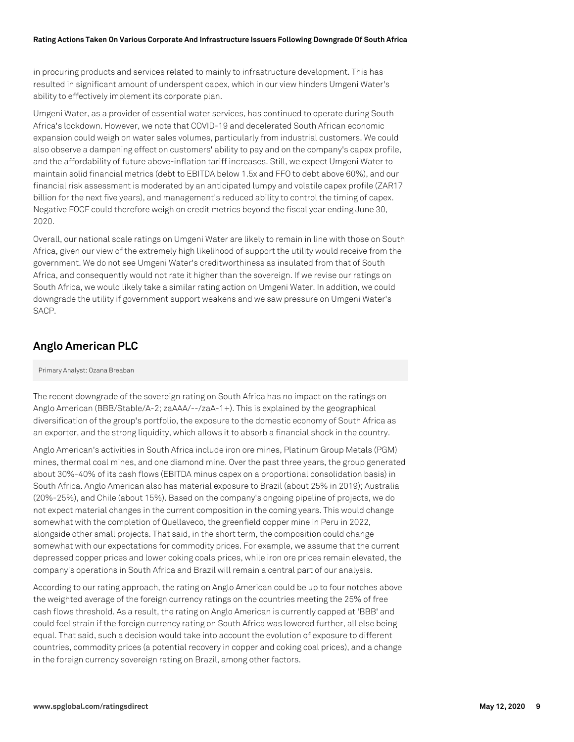in procuring products and services related to mainly to infrastructure development. This has resulted in significant amount of underspent capex, which in our view hinders Umgeni Water's ability to effectively implement its corporate plan.

Umgeni Water, as a provider of essential water services, has continued to operate during South Africa's lockdown. However, we note that COVID-19 and decelerated South African economic expansion could weigh on water sales volumes, particularly from industrial customers. We could also observe a dampening effect on customers' ability to pay and on the company's capex profile, and the affordability of future above-inflation tariff increases. Still, we expect Umgeni Water to maintain solid financial metrics (debt to EBITDA below 1.5x and FFO to debt above 60%), and our financial risk assessment is moderated by an anticipated lumpy and volatile capex profile (ZAR17 billion for the next five years), and management's reduced ability to control the timing of capex. Negative FOCF could therefore weigh on credit metrics beyond the fiscal year ending June 30, 2020.

Overall, our national scale ratings on Umgeni Water are likely to remain in line with those on South Africa, given our view of the extremely high likelihood of support the utility would receive from the government. We do not see Umgeni Water's creditworthiness as insulated from that of South Africa, and consequently would not rate it higher than the sovereign. If we revise our ratings on South Africa, we would likely take a similar rating action on Umgeni Water. In addition, we could downgrade the utility if government support weakens and we saw pressure on Umgeni Water's SACP.

# **Anglo American PLC**

#### Primary Analyst: Ozana Breaban

The recent downgrade of the sovereign rating on South Africa has no impact on the ratings on Anglo American (BBB/Stable/A-2; zaAAA/--/zaA-1+). This is explained by the geographical diversification of the group's portfolio, the exposure to the domestic economy of South Africa as an exporter, and the strong liquidity, which allows it to absorb a financial shock in the country.

Anglo American's activities in South Africa include iron ore mines, Platinum Group Metals (PGM) mines, thermal coal mines, and one diamond mine. Over the past three years, the group generated about 30%-40% of its cash flows (EBITDA minus capex on a proportional consolidation basis) in South Africa. Anglo American also has material exposure to Brazil (about 25% in 2019); Australia (20%-25%), and Chile (about 15%). Based on the company's ongoing pipeline of projects, we do not expect material changes in the current composition in the coming years. This would change somewhat with the completion of Quellaveco, the greenfield copper mine in Peru in 2022, alongside other small projects. That said, in the short term, the composition could change somewhat with our expectations for commodity prices. For example, we assume that the current depressed copper prices and lower coking coals prices, while iron ore prices remain elevated, the company's operations in South Africa and Brazil will remain a central part of our analysis.

According to our rating approach, the rating on Anglo American could be up to four notches above the weighted average of the foreign currency ratings on the countries meeting the 25% of free cash flows threshold. As a result, the rating on Anglo American is currently capped at 'BBB' and could feel strain if the foreign currency rating on South Africa was lowered further, all else being equal. That said, such a decision would take into account the evolution of exposure to different countries, commodity prices (a potential recovery in copper and coking coal prices), and a change in the foreign currency sovereign rating on Brazil, among other factors.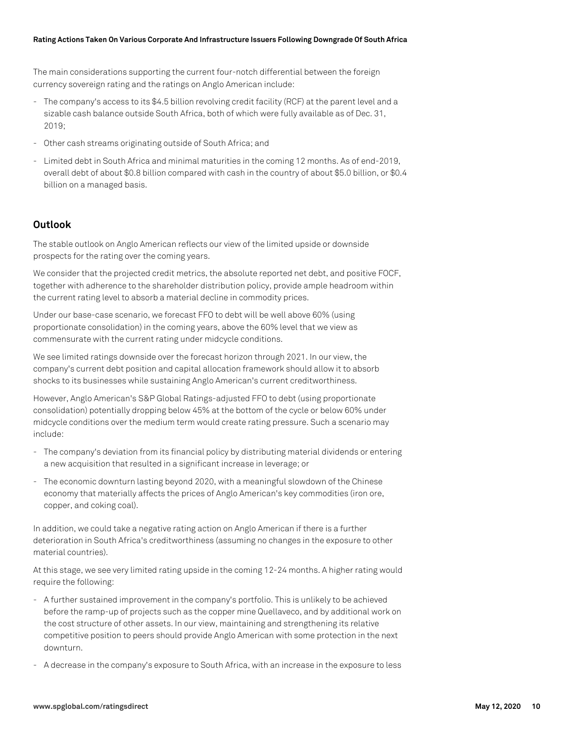The main considerations supporting the current four-notch differential between the foreign currency sovereign rating and the ratings on Anglo American include:

- The company's access to its \$4.5 billion revolving credit facility (RCF) at the parent level and a sizable cash balance outside South Africa, both of which were fully available as of Dec. 31, 2019;
- Other cash streams originating outside of South Africa; and
- Limited debt in South Africa and minimal maturities in the coming 12 months. As of end-2019, overall debt of about \$0.8 billion compared with cash in the country of about \$5.0 billion, or \$0.4 billion on a managed basis.

### **Outlook**

The stable outlook on Anglo American reflects our view of the limited upside or downside prospects for the rating over the coming years.

We consider that the projected credit metrics, the absolute reported net debt, and positive FOCF, together with adherence to the shareholder distribution policy, provide ample headroom within the current rating level to absorb a material decline in commodity prices.

Under our base-case scenario, we forecast FFO to debt will be well above 60% (using proportionate consolidation) in the coming years, above the 60% level that we view as commensurate with the current rating under midcycle conditions.

We see limited ratings downside over the forecast horizon through 2021. In our view, the company's current debt position and capital allocation framework should allow it to absorb shocks to its businesses while sustaining Anglo American's current creditworthiness.

However, Anglo American's S&P Global Ratings-adjusted FFO to debt (using proportionate consolidation) potentially dropping below 45% at the bottom of the cycle or below 60% under midcycle conditions over the medium term would create rating pressure. Such a scenario may include:

- The company's deviation from its financial policy by distributing material dividends or entering a new acquisition that resulted in a significant increase in leverage; or
- The economic downturn lasting beyond 2020, with a meaningful slowdown of the Chinese economy that materially affects the prices of Anglo American's key commodities (iron ore, copper, and coking coal).

In addition, we could take a negative rating action on Anglo American if there is a further deterioration in South Africa's creditworthiness (assuming no changes in the exposure to other material countries).

At this stage, we see very limited rating upside in the coming 12-24 months. A higher rating would require the following:

- A further sustained improvement in the company's portfolio. This is unlikely to be achieved before the ramp-up of projects such as the copper mine Quellaveco, and by additional work on the cost structure of other assets. In our view, maintaining and strengthening its relative competitive position to peers should provide Anglo American with some protection in the next downturn.
- A decrease in the company's exposure to South Africa, with an increase in the exposure to less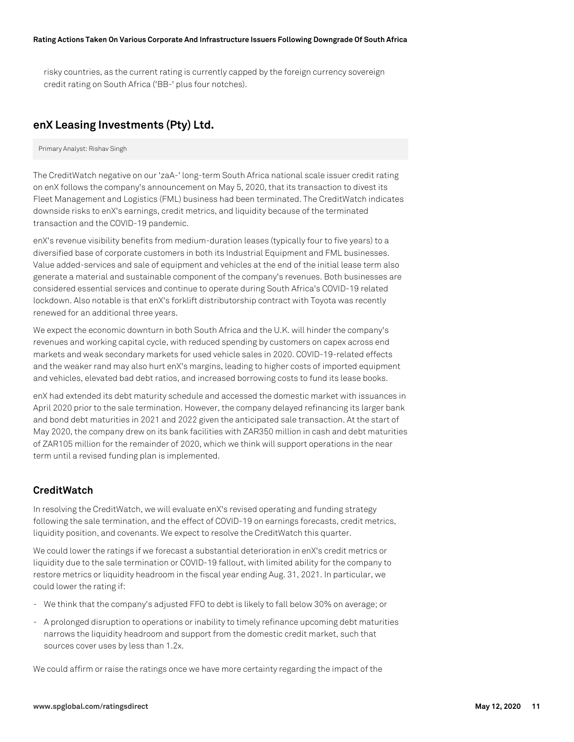risky countries, as the current rating is currently capped by the foreign currency sovereign credit rating on South Africa ('BB-' plus four notches).

# **enX Leasing Investments (Pty) Ltd.**

Primary Analyst: Rishav Singh

The CreditWatch negative on our 'zaA-' long-term South Africa national scale issuer credit rating on enX follows the company's announcement on May 5, 2020, that its transaction to divest its Fleet Management and Logistics (FML) business had been terminated. The CreditWatch indicates downside risks to enX's earnings, credit metrics, and liquidity because of the terminated transaction and the COVID-19 pandemic.

enX's revenue visibility benefits from medium-duration leases (typically four to five years) to a diversified base of corporate customers in both its Industrial Equipment and FML businesses. Value added-services and sale of equipment and vehicles at the end of the initial lease term also generate a material and sustainable component of the company's revenues. Both businesses are considered essential services and continue to operate during South Africa's COVID-19 related lockdown. Also notable is that enX's forklift distributorship contract with Toyota was recently renewed for an additional three years.

We expect the economic downturn in both South Africa and the U.K. will hinder the company's revenues and working capital cycle, with reduced spending by customers on capex across end markets and weak secondary markets for used vehicle sales in 2020. COVID-19-related effects and the weaker rand may also hurt enX's margins, leading to higher costs of imported equipment and vehicles, elevated bad debt ratios, and increased borrowing costs to fund its lease books.

enX had extended its debt maturity schedule and accessed the domestic market with issuances in April 2020 prior to the sale termination. However, the company delayed refinancing its larger bank and bond debt maturities in 2021 and 2022 given the anticipated sale transaction. At the start of May 2020, the company drew on its bank facilities with ZAR350 million in cash and debt maturities of ZAR105 million for the remainder of 2020, which we think will support operations in the near term until a revised funding plan is implemented.

# **CreditWatch**

In resolving the CreditWatch, we will evaluate enX's revised operating and funding strategy following the sale termination, and the effect of COVID-19 on earnings forecasts, credit metrics, liquidity position, and covenants. We expect to resolve the CreditWatch this quarter.

We could lower the ratings if we forecast a substantial deterioration in enX's credit metrics or liquidity due to the sale termination or COVID-19 fallout, with limited ability for the company to restore metrics or liquidity headroom in the fiscal year ending Aug. 31, 2021. In particular, we could lower the rating if:

- We think that the company's adjusted FFO to debt is likely to fall below 30% on average; or
- A prolonged disruption to operations or inability to timely refinance upcoming debt maturities narrows the liquidity headroom and support from the domestic credit market, such that sources cover uses by less than 1.2x.

We could affirm or raise the ratings once we have more certainty regarding the impact of the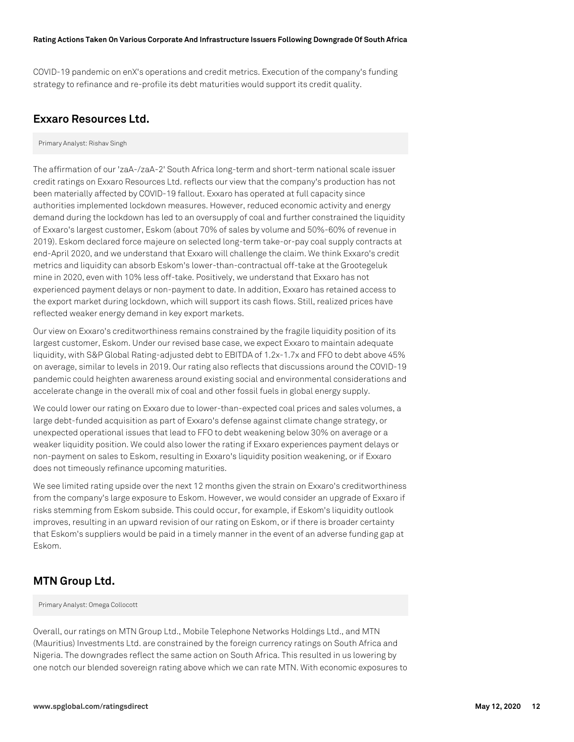COVID-19 pandemic on enX's operations and credit metrics. Execution of the company's funding strategy to refinance and re-profile its debt maturities would support its credit quality.

# **Exxaro Resources Ltd.**

Primary Analyst: Rishav Singh

The affirmation of our 'zaA-/zaA-2' South Africa long-term and short-term national scale issuer credit ratings on Exxaro Resources Ltd. reflects our view that the company's production has not been materially affected by COVID-19 fallout. Exxaro has operated at full capacity since authorities implemented lockdown measures. However, reduced economic activity and energy demand during the lockdown has led to an oversupply of coal and further constrained the liquidity of Exxaro's largest customer, Eskom (about 70% of sales by volume and 50%-60% of revenue in 2019). Eskom declared force majeure on selected long-term take-or-pay coal supply contracts at end-April 2020, and we understand that Exxaro will challenge the claim. We think Exxaro's credit metrics and liquidity can absorb Eskom's lower-than-contractual off-take at the Grootegeluk mine in 2020, even with 10% less off-take. Positively, we understand that Exxaro has not experienced payment delays or non-payment to date. In addition, Exxaro has retained access to the export market during lockdown, which will support its cash flows. Still, realized prices have reflected weaker energy demand in key export markets.

Our view on Exxaro's creditworthiness remains constrained by the fragile liquidity position of its largest customer, Eskom. Under our revised base case, we expect Exxaro to maintain adequate liquidity, with S&P Global Rating-adjusted debt to EBITDA of 1.2x-1.7x and FFO to debt above 45% on average, similar to levels in 2019. Our rating also reflects that discussions around the COVID-19 pandemic could heighten awareness around existing social and environmental considerations and accelerate change in the overall mix of coal and other fossil fuels in global energy supply.

We could lower our rating on Exxaro due to lower-than-expected coal prices and sales volumes, a large debt-funded acquisition as part of Exxaro's defense against climate change strategy, or unexpected operational issues that lead to FFO to debt weakening below 30% on average or a weaker liquidity position. We could also lower the rating if Exxaro experiences payment delays or non-payment on sales to Eskom, resulting in Exxaro's liquidity position weakening, or if Exxaro does not timeously refinance upcoming maturities.

We see limited rating upside over the next 12 months given the strain on Exxaro's creditworthiness from the company's large exposure to Eskom. However, we would consider an upgrade of Exxaro if risks stemming from Eskom subside. This could occur, for example, if Eskom's liquidity outlook improves, resulting in an upward revision of our rating on Eskom, or if there is broader certainty that Eskom's suppliers would be paid in a timely manner in the event of an adverse funding gap at Eskom.

# **MTN Group Ltd.**

Primary Analyst: Omega Collocott

Overall, our ratings on MTN Group Ltd., Mobile Telephone Networks Holdings Ltd., and MTN (Mauritius) Investments Ltd. are constrained by the foreign currency ratings on South Africa and Nigeria. The downgrades reflect the same action on South Africa. This resulted in us lowering by one notch our blended sovereign rating above which we can rate MTN. With economic exposures to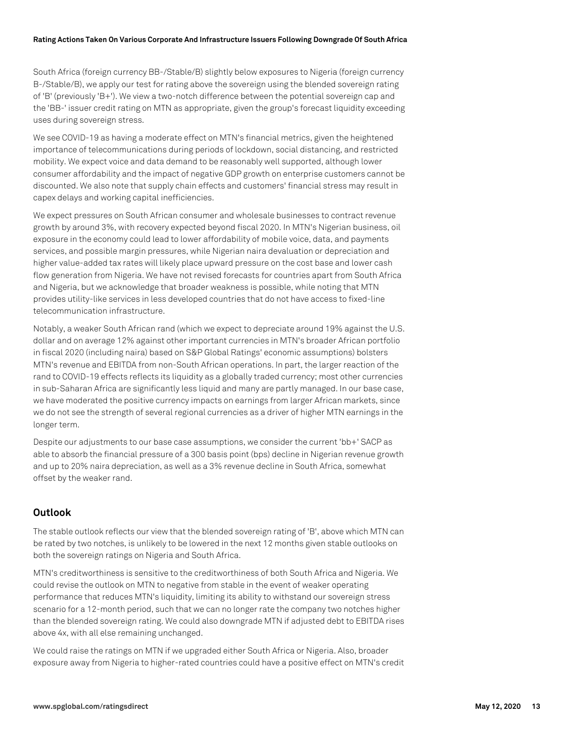South Africa (foreign currency BB-/Stable/B) slightly below exposures to Nigeria (foreign currency B-/Stable/B), we apply our test for rating above the sovereign using the blended sovereign rating of 'B' (previously 'B+'). We view a two-notch difference between the potential sovereign cap and the 'BB-' issuer credit rating on MTN as appropriate, given the group's forecast liquidity exceeding uses during sovereign stress.

We see COVID-19 as having a moderate effect on MTN's financial metrics, given the heightened importance of telecommunications during periods of lockdown, social distancing, and restricted mobility. We expect voice and data demand to be reasonably well supported, although lower consumer affordability and the impact of negative GDP growth on enterprise customers cannot be discounted. We also note that supply chain effects and customers' financial stress may result in capex delays and working capital inefficiencies.

We expect pressures on South African consumer and wholesale businesses to contract revenue growth by around 3%, with recovery expected beyond fiscal 2020. In MTN's Nigerian business, oil exposure in the economy could lead to lower affordability of mobile voice, data, and payments services, and possible margin pressures, while Nigerian naira devaluation or depreciation and higher value-added tax rates will likely place upward pressure on the cost base and lower cash flow generation from Nigeria. We have not revised forecasts for countries apart from South Africa and Nigeria, but we acknowledge that broader weakness is possible, while noting that MTN provides utility-like services in less developed countries that do not have access to fixed-line telecommunication infrastructure.

Notably, a weaker South African rand (which we expect to depreciate around 19% against the U.S. dollar and on average 12% against other important currencies in MTN's broader African portfolio in fiscal 2020 (including naira) based on S&P Global Ratings' economic assumptions) bolsters MTN's revenue and EBITDA from non-South African operations. In part, the larger reaction of the rand to COVID-19 effects reflects its liquidity as a globally traded currency; most other currencies in sub-Saharan Africa are significantly less liquid and many are partly managed. In our base case, we have moderated the positive currency impacts on earnings from larger African markets, since we do not see the strength of several regional currencies as a driver of higher MTN earnings in the longer term.

Despite our adjustments to our base case assumptions, we consider the current 'bb+' SACP as able to absorb the financial pressure of a 300 basis point (bps) decline in Nigerian revenue growth and up to 20% naira depreciation, as well as a 3% revenue decline in South Africa, somewhat offset by the weaker rand.

# **Outlook**

The stable outlook reflects our view that the blended sovereign rating of 'B', above which MTN can be rated by two notches, is unlikely to be lowered in the next 12 months given stable outlooks on both the sovereign ratings on Nigeria and South Africa.

MTN's creditworthiness is sensitive to the creditworthiness of both South Africa and Nigeria. We could revise the outlook on MTN to negative from stable in the event of weaker operating performance that reduces MTN's liquidity, limiting its ability to withstand our sovereign stress scenario for a 12-month period, such that we can no longer rate the company two notches higher than the blended sovereign rating. We could also downgrade MTN if adjusted debt to EBITDA rises above 4x, with all else remaining unchanged.

We could raise the ratings on MTN if we upgraded either South Africa or Nigeria. Also, broader exposure away from Nigeria to higher-rated countries could have a positive effect on MTN's credit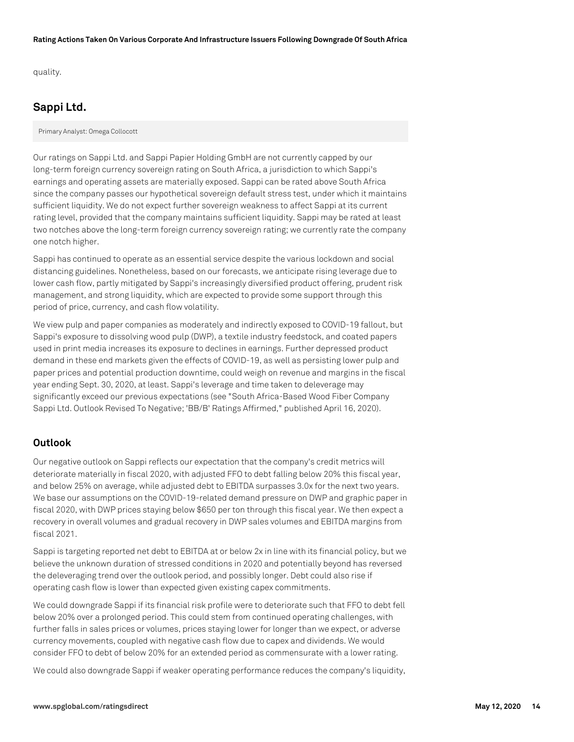quality.

# **Sappi Ltd.**

Primary Analyst: Omega Collocott

Our ratings on Sappi Ltd. and Sappi Papier Holding GmbH are not currently capped by our long-term foreign currency sovereign rating on South Africa, a jurisdiction to which Sappi's earnings and operating assets are materially exposed. Sappi can be rated above South Africa since the company passes our hypothetical sovereign default stress test, under which it maintains sufficient liquidity. We do not expect further sovereign weakness to affect Sappi at its current rating level, provided that the company maintains sufficient liquidity. Sappi may be rated at least two notches above the long-term foreign currency sovereign rating; we currently rate the company one notch higher.

Sappi has continued to operate as an essential service despite the various lockdown and social distancing guidelines. Nonetheless, based on our forecasts, we anticipate rising leverage due to lower cash flow, partly mitigated by Sappi's increasingly diversified product offering, prudent risk management, and strong liquidity, which are expected to provide some support through this period of price, currency, and cash flow volatility.

We view pulp and paper companies as moderately and indirectly exposed to COVID-19 fallout, but Sappi's exposure to dissolving wood pulp (DWP), a textile industry feedstock, and coated papers used in print media increases its exposure to declines in earnings. Further depressed product demand in these end markets given the effects of COVID-19, as well as persisting lower pulp and paper prices and potential production downtime, could weigh on revenue and margins in the fiscal year ending Sept. 30, 2020, at least. Sappi's leverage and time taken to deleverage may significantly exceed our previous expectations (see "South Africa-Based Wood Fiber Company Sappi Ltd. Outlook Revised To Negative; 'BB/B' Ratings Affirmed," published April 16, 2020).

# **Outlook**

Our negative outlook on Sappi reflects our expectation that the company's credit metrics will deteriorate materially in fiscal 2020, with adjusted FFO to debt falling below 20% this fiscal year, and below 25% on average, while adjusted debt to EBITDA surpasses 3.0x for the next two years. We base our assumptions on the COVID-19-related demand pressure on DWP and graphic paper in fiscal 2020, with DWP prices staying below \$650 per ton through this fiscal year. We then expect a recovery in overall volumes and gradual recovery in DWP sales volumes and EBITDA margins from fiscal 2021.

Sappi is targeting reported net debt to EBITDA at or below 2x in line with its financial policy, but we believe the unknown duration of stressed conditions in 2020 and potentially beyond has reversed the deleveraging trend over the outlook period, and possibly longer. Debt could also rise if operating cash flow is lower than expected given existing capex commitments.

We could downgrade Sappi if its financial risk profile were to deteriorate such that FFO to debt fell below 20% over a prolonged period. This could stem from continued operating challenges, with further falls in sales prices or volumes, prices staying lower for longer than we expect, or adverse currency movements, coupled with negative cash flow due to capex and dividends. We would consider FFO to debt of below 20% for an extended period as commensurate with a lower rating.

We could also downgrade Sappi if weaker operating performance reduces the company's liquidity,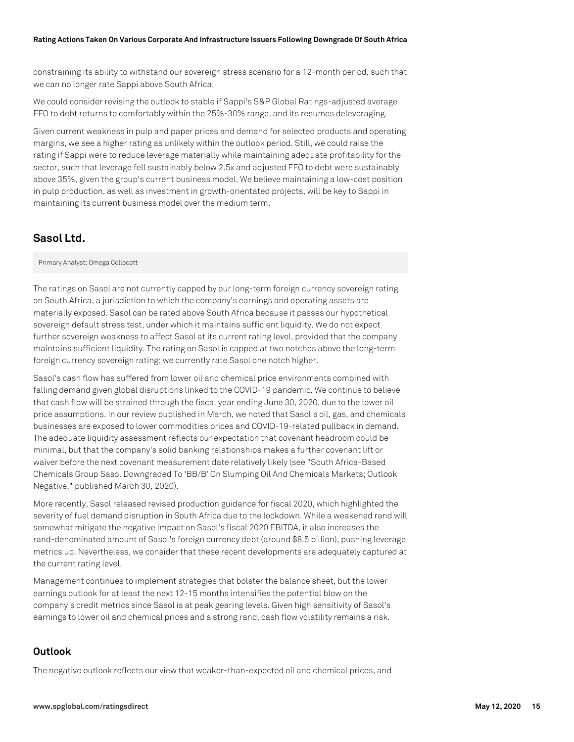constraining its ability to withstand our sovereign stress scenario for a 12-month period, such that we can no longer rate Sappi above South Africa.

We could consider revising the outlook to stable if Sappi's S&P Global Ratings-adjusted average FFO to debt returns to comfortably within the 25%-30% range, and its resumes deleveraging.

Given current weakness in pulp and paper prices and demand for selected products and operating margins, we see a higher rating as unlikely within the outlook period. Still, we could raise the rating if Sappi were to reduce leverage materially while maintaining adequate profitability for the sector, such that leverage fell sustainably below 2.5x and adjusted FFO to debt were sustainably above 35%, given the group's current business model. We believe maintaining a low-cost position in pulp production, as well as investment in growth-orientated projects, will be key to Sappi in maintaining its current business model over the medium term.

# **Sasol Ltd.**

Primary Analyst: Omega Collocott

The ratings on Sasol are not currently capped by our long-term foreign currency sovereign rating on South Africa, a jurisdiction to which the company's earnings and operating assets are materially exposed. Sasol can be rated above South Africa because it passes our hypothetical sovereign default stress test, under which it maintains sufficient liquidity. We do not expect further sovereign weakness to affect Sasol at its current rating level, provided that the company maintains sufficient liquidity. The rating on Sasol is capped at two notches above the long-term foreign currency sovereign rating; we currently rate Sasol one notch higher.

Sasol's cash flow has suffered from lower oil and chemical price environments combined with falling demand given global disruptions linked to the COVID-19 pandemic. We continue to believe that cash flow will be strained through the fiscal year ending June 30, 2020, due to the lower oil price assumptions. In our review published in March, we noted that Sasol's oil, gas, and chemicals businesses are exposed to lower commodities prices and COVID-19-related pullback in demand. The adequate liquidity assessment reflects our expectation that covenant headroom could be minimal, but that the company's solid banking relationships makes a further covenant lift or waiver before the next covenant measurement date relatively likely (see "South Africa-Based Chemicals Group Sasol Downgraded To 'BB/B' On Slumping Oil And Chemicals Markets; Outlook Negative," published March 30, 2020).

More recently, Sasol released revised production guidance for fiscal 2020, which highlighted the severity of fuel demand disruption in South Africa due to the lockdown. While a weakened rand will somewhat mitigate the negative impact on Sasol's fiscal 2020 EBITDA, it also increases the rand-denominated amount of Sasol's foreign currency debt (around \$8.5 billion), pushing leverage metrics up. Nevertheless, we consider that these recent developments are adequately captured at the current rating level.

Management continues to implement strategies that bolster the balance sheet, but the lower earnings outlook for at least the next 12-15 months intensifies the potential blow on the company's credit metrics since Sasol is at peak gearing levels. Given high sensitivity of Sasol's earnings to lower oil and chemical prices and a strong rand, cash flow volatility remains a risk.

# **Outlook**

The negative outlook reflects our view that weaker-than-expected oil and chemical prices, and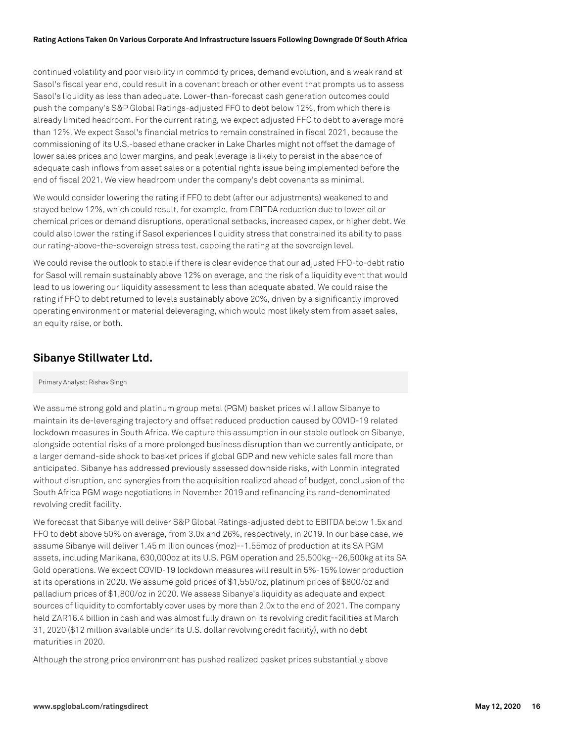continued volatility and poor visibility in commodity prices, demand evolution, and a weak rand at Sasol's fiscal year end, could result in a covenant breach or other event that prompts us to assess Sasol's liquidity as less than adequate. Lower-than-forecast cash generation outcomes could push the company's S&P Global Ratings-adjusted FFO to debt below 12%, from which there is already limited headroom. For the current rating, we expect adjusted FFO to debt to average more than 12%. We expect Sasol's financial metrics to remain constrained in fiscal 2021, because the commissioning of its U.S.-based ethane cracker in Lake Charles might not offset the damage of lower sales prices and lower margins, and peak leverage is likely to persist in the absence of adequate cash inflows from asset sales or a potential rights issue being implemented before the end of fiscal 2021. We view headroom under the company's debt covenants as minimal.

We would consider lowering the rating if FFO to debt (after our adjustments) weakened to and stayed below 12%, which could result, for example, from EBITDA reduction due to lower oil or chemical prices or demand disruptions, operational setbacks, increased capex, or higher debt. We could also lower the rating if Sasol experiences liquidity stress that constrained its ability to pass our rating-above-the-sovereign stress test, capping the rating at the sovereign level.

We could revise the outlook to stable if there is clear evidence that our adjusted FFO-to-debt ratio for Sasol will remain sustainably above 12% on average, and the risk of a liquidity event that would lead to us lowering our liquidity assessment to less than adequate abated. We could raise the rating if FFO to debt returned to levels sustainably above 20%, driven by a significantly improved operating environment or material deleveraging, which would most likely stem from asset sales, an equity raise, or both.

# **Sibanye Stillwater Ltd.**

#### Primary Analyst: Rishav Singh

We assume strong gold and platinum group metal (PGM) basket prices will allow Sibanye to maintain its de-leveraging trajectory and offset reduced production caused by COVID-19 related lockdown measures in South Africa. We capture this assumption in our stable outlook on Sibanye, alongside potential risks of a more prolonged business disruption than we currently anticipate, or a larger demand-side shock to basket prices if global GDP and new vehicle sales fall more than anticipated. Sibanye has addressed previously assessed downside risks, with Lonmin integrated without disruption, and synergies from the acquisition realized ahead of budget, conclusion of the South Africa PGM wage negotiations in November 2019 and refinancing its rand-denominated revolving credit facility.

We forecast that Sibanye will deliver S&P Global Ratings-adjusted debt to EBITDA below 1.5x and FFO to debt above 50% on average, from 3.0x and 26%, respectively, in 2019. In our base case, we assume Sibanye will deliver 1.45 million ounces (moz)--1.55moz of production at its SA PGM assets, including Marikana, 630,000oz at its U.S. PGM operation and 25,500kg--26,500kg at its SA Gold operations. We expect COVID-19 lockdown measures will result in 5%-15% lower production at its operations in 2020. We assume gold prices of \$1,550/oz, platinum prices of \$800/oz and palladium prices of \$1,800/oz in 2020. We assess Sibanye's liquidity as adequate and expect sources of liquidity to comfortably cover uses by more than 2.0x to the end of 2021. The company held ZAR16.4 billion in cash and was almost fully drawn on its revolving credit facilities at March 31, 2020 (\$12 million available under its U.S. dollar revolving credit facility), with no debt maturities in 2020.

Although the strong price environment has pushed realized basket prices substantially above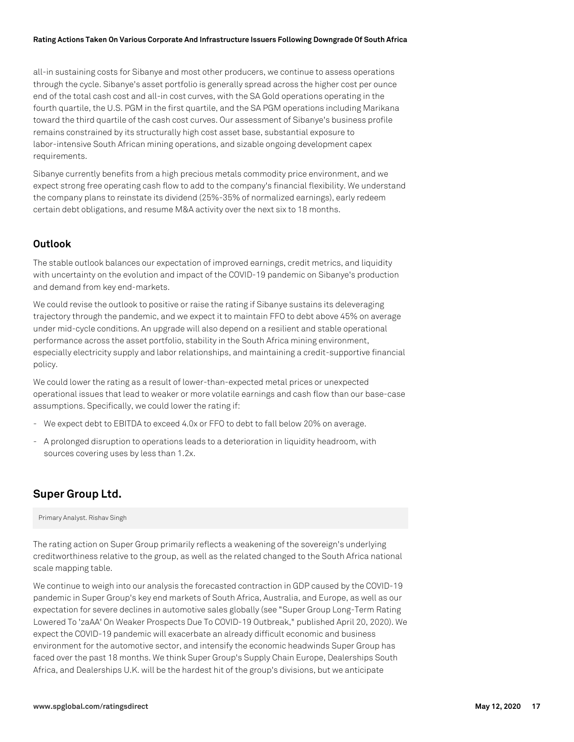all-in sustaining costs for Sibanye and most other producers, we continue to assess operations through the cycle. Sibanye's asset portfolio is generally spread across the higher cost per ounce end of the total cash cost and all-in cost curves, with the SA Gold operations operating in the fourth quartile, the U.S. PGM in the first quartile, and the SA PGM operations including Marikana toward the third quartile of the cash cost curves. Our assessment of Sibanye's business profile remains constrained by its structurally high cost asset base, substantial exposure to labor-intensive South African mining operations, and sizable ongoing development capex requirements.

Sibanye currently benefits from a high precious metals commodity price environment, and we expect strong free operating cash flow to add to the company's financial flexibility. We understand the company plans to reinstate its dividend (25%-35% of normalized earnings), early redeem certain debt obligations, and resume M&A activity over the next six to 18 months.

### **Outlook**

The stable outlook balances our expectation of improved earnings, credit metrics, and liquidity with uncertainty on the evolution and impact of the COVID-19 pandemic on Sibanye's production and demand from key end-markets.

We could revise the outlook to positive or raise the rating if Sibanye sustains its deleveraging trajectory through the pandemic, and we expect it to maintain FFO to debt above 45% on average under mid-cycle conditions. An upgrade will also depend on a resilient and stable operational performance across the asset portfolio, stability in the South Africa mining environment, especially electricity supply and labor relationships, and maintaining a credit-supportive financial policy.

We could lower the rating as a result of lower-than-expected metal prices or unexpected operational issues that lead to weaker or more volatile earnings and cash flow than our base-case assumptions. Specifically, we could lower the rating if:

- We expect debt to EBITDA to exceed 4.0x or FFO to debt to fall below 20% on average.
- A prolonged disruption to operations leads to a deterioration in liquidity headroom, with sources covering uses by less than 1.2x.

# **Super Group Ltd.**

Primary Analyst. Rishav Singh

The rating action on Super Group primarily reflects a weakening of the sovereign's underlying creditworthiness relative to the group, as well as the related changed to the South Africa national scale mapping table.

We continue to weigh into our analysis the forecasted contraction in GDP caused by the COVID-19 pandemic in Super Group's key end markets of South Africa, Australia, and Europe, as well as our expectation for severe declines in automotive sales globally (see "Super Group Long-Term Rating Lowered To 'zaAA' On Weaker Prospects Due To COVID-19 Outbreak," published April 20, 2020). We expect the COVID-19 pandemic will exacerbate an already difficult economic and business environment for the automotive sector, and intensify the economic headwinds Super Group has faced over the past 18 months. We think Super Group's Supply Chain Europe, Dealerships South Africa, and Dealerships U.K. will be the hardest hit of the group's divisions, but we anticipate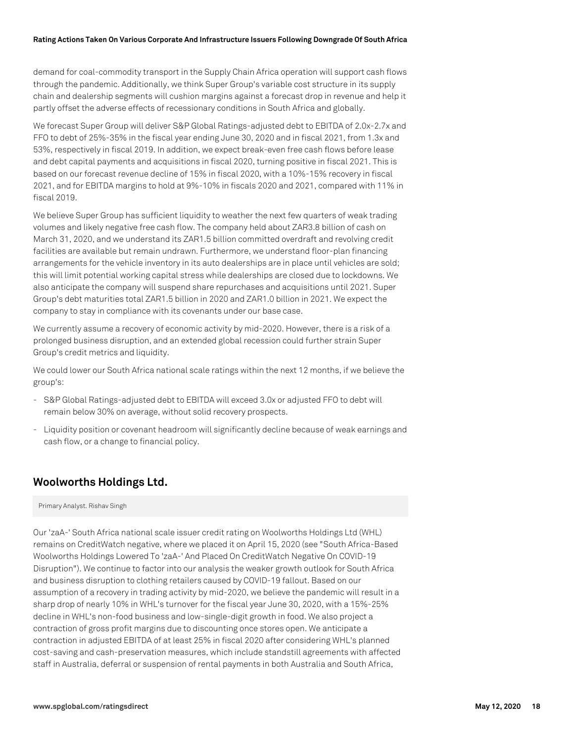demand for coal-commodity transport in the Supply Chain Africa operation will support cash flows through the pandemic. Additionally, we think Super Group's variable cost structure in its supply chain and dealership segments will cushion margins against a forecast drop in revenue and help it partly offset the adverse effects of recessionary conditions in South Africa and globally.

We forecast Super Group will deliver S&P Global Ratings-adjusted debt to EBITDA of 2.0x-2.7x and FFO to debt of 25%-35% in the fiscal year ending June 30, 2020 and in fiscal 2021, from 1.3x and 53%, respectively in fiscal 2019. In addition, we expect break-even free cash flows before lease and debt capital payments and acquisitions in fiscal 2020, turning positive in fiscal 2021. This is based on our forecast revenue decline of 15% in fiscal 2020, with a 10%-15% recovery in fiscal 2021, and for EBITDA margins to hold at 9%-10% in fiscals 2020 and 2021, compared with 11% in fiscal 2019.

We believe Super Group has sufficient liquidity to weather the next few quarters of weak trading volumes and likely negative free cash flow. The company held about ZAR3.8 billion of cash on March 31, 2020, and we understand its ZAR1.5 billion committed overdraft and revolving credit facilities are available but remain undrawn. Furthermore, we understand floor-plan financing arrangements for the vehicle inventory in its auto dealerships are in place until vehicles are sold; this will limit potential working capital stress while dealerships are closed due to lockdowns. We also anticipate the company will suspend share repurchases and acquisitions until 2021. Super Group's debt maturities total ZAR1.5 billion in 2020 and ZAR1.0 billion in 2021. We expect the company to stay in compliance with its covenants under our base case.

We currently assume a recovery of economic activity by mid-2020. However, there is a risk of a prolonged business disruption, and an extended global recession could further strain Super Group's credit metrics and liquidity.

We could lower our South Africa national scale ratings within the next 12 months, if we believe the group's:

- S&P Global Ratings-adjusted debt to EBITDA will exceed 3.0x or adjusted FFO to debt will remain below 30% on average, without solid recovery prospects.
- Liquidity position or covenant headroom will significantly decline because of weak earnings and cash flow, or a change to financial policy.

# **Woolworths Holdings Ltd.**

Primary Analyst. Rishav Singh

Our 'zaA-' South Africa national scale issuer credit rating on Woolworths Holdings Ltd (WHL) remains on CreditWatch negative, where we placed it on April 15, 2020 (see "South Africa-Based Woolworths Holdings Lowered To 'zaA-' And Placed On CreditWatch Negative On COVID-19 Disruption"). We continue to factor into our analysis the weaker growth outlook for South Africa and business disruption to clothing retailers caused by COVID-19 fallout. Based on our assumption of a recovery in trading activity by mid-2020, we believe the pandemic will result in a sharp drop of nearly 10% in WHL's turnover for the fiscal year June 30, 2020, with a 15%-25% decline in WHL's non-food business and low-single-digit growth in food. We also project a contraction of gross profit margins due to discounting once stores open. We anticipate a contraction in adjusted EBITDA of at least 25% in fiscal 2020 after considering WHL's planned cost-saving and cash-preservation measures, which include standstill agreements with affected staff in Australia, deferral or suspension of rental payments in both Australia and South Africa,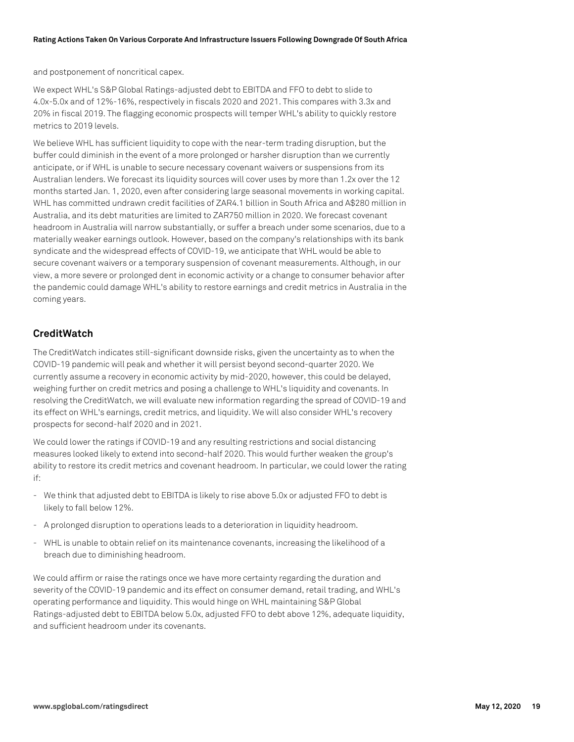and postponement of noncritical capex.

We expect WHL's S&P Global Ratings-adjusted debt to EBITDA and FFO to debt to slide to 4.0x-5.0x and of 12%-16%, respectively in fiscals 2020 and 2021. This compares with 3.3x and 20% in fiscal 2019. The flagging economic prospects will temper WHL's ability to quickly restore metrics to 2019 levels.

We believe WHL has sufficient liquidity to cope with the near-term trading disruption, but the buffer could diminish in the event of a more prolonged or harsher disruption than we currently anticipate, or if WHL is unable to secure necessary covenant waivers or suspensions from its Australian lenders. We forecast its liquidity sources will cover uses by more than 1.2x over the 12 months started Jan. 1, 2020, even after considering large seasonal movements in working capital. WHL has committed undrawn credit facilities of ZAR4.1 billion in South Africa and A\$280 million in Australia, and its debt maturities are limited to ZAR750 million in 2020. We forecast covenant headroom in Australia will narrow substantially, or suffer a breach under some scenarios, due to a materially weaker earnings outlook. However, based on the company's relationships with its bank syndicate and the widespread effects of COVID-19, we anticipate that WHL would be able to secure covenant waivers or a temporary suspension of covenant measurements. Although, in our view, a more severe or prolonged dent in economic activity or a change to consumer behavior after the pandemic could damage WHL's ability to restore earnings and credit metrics in Australia in the coming years.

# **CreditWatch**

The CreditWatch indicates still-significant downside risks, given the uncertainty as to when the COVID-19 pandemic will peak and whether it will persist beyond second-quarter 2020. We currently assume a recovery in economic activity by mid-2020, however, this could be delayed, weighing further on credit metrics and posing a challenge to WHL's liquidity and covenants. In resolving the CreditWatch, we will evaluate new information regarding the spread of COVID-19 and its effect on WHL's earnings, credit metrics, and liquidity. We will also consider WHL's recovery prospects for second-half 2020 and in 2021.

We could lower the ratings if COVID-19 and any resulting restrictions and social distancing measures looked likely to extend into second-half 2020. This would further weaken the group's ability to restore its credit metrics and covenant headroom. In particular, we could lower the rating if:

- We think that adjusted debt to EBITDA is likely to rise above 5.0x or adjusted FFO to debt is likely to fall below 12%.
- A prolonged disruption to operations leads to a deterioration in liquidity headroom.
- WHL is unable to obtain relief on its maintenance covenants, increasing the likelihood of a breach due to diminishing headroom.

We could affirm or raise the ratings once we have more certainty regarding the duration and severity of the COVID-19 pandemic and its effect on consumer demand, retail trading, and WHL's operating performance and liquidity. This would hinge on WHL maintaining S&P Global Ratings-adjusted debt to EBITDA below 5.0x, adjusted FFO to debt above 12%, adequate liquidity, and sufficient headroom under its covenants.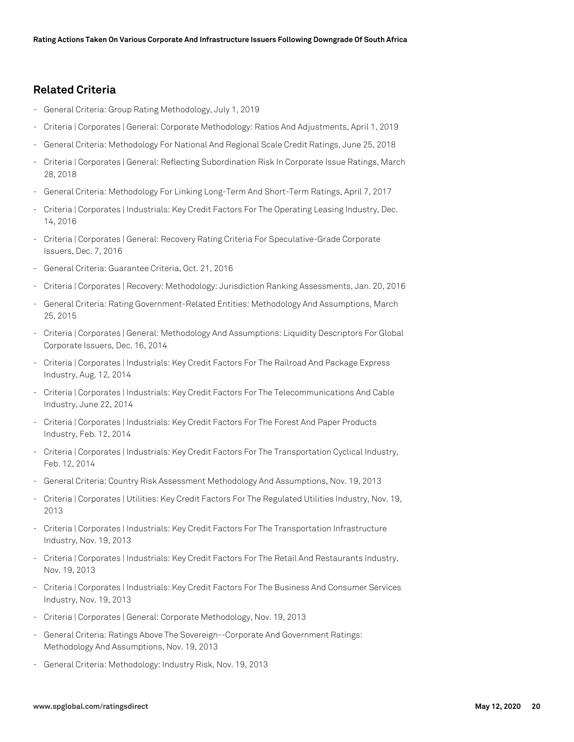# **Related Criteria**

- General Criteria: Group Rating Methodology, July 1, 2019
- Criteria | Corporates | General: Corporate Methodology: Ratios And Adjustments, April 1, 2019
- General Criteria: Methodology For National And Regional Scale Credit Ratings, June 25, 2018
- Criteria | Corporates | General: Reflecting Subordination Risk In Corporate Issue Ratings, March 28, 2018
- General Criteria: Methodology For Linking Long-Term And Short-Term Ratings, April 7, 2017
- Criteria | Corporates | Industrials: Key Credit Factors For The Operating Leasing Industry, Dec. 14, 2016
- Criteria | Corporates | General: Recovery Rating Criteria For Speculative-Grade Corporate Issuers, Dec. 7, 2016
- General Criteria: Guarantee Criteria, Oct. 21, 2016
- Criteria | Corporates | Recovery: Methodology: Jurisdiction Ranking Assessments, Jan. 20, 2016
- General Criteria: Rating Government-Related Entities: Methodology And Assumptions, March 25, 2015
- Criteria | Corporates | General: Methodology And Assumptions: Liquidity Descriptors For Global Corporate Issuers, Dec. 16, 2014
- Criteria | Corporates | Industrials: Key Credit Factors For The Railroad And Package Express Industry, Aug. 12, 2014
- Criteria | Corporates | Industrials: Key Credit Factors For The Telecommunications And Cable Industry, June 22, 2014
- Criteria | Corporates | Industrials: Key Credit Factors For The Forest And Paper Products Industry, Feb. 12, 2014
- Criteria | Corporates | Industrials: Key Credit Factors For The Transportation Cyclical Industry, Feb. 12, 2014
- General Criteria: Country Risk Assessment Methodology And Assumptions, Nov. 19, 2013
- Criteria | Corporates | Utilities: Key Credit Factors For The Regulated Utilities Industry, Nov. 19, 2013
- Criteria | Corporates | Industrials: Key Credit Factors For The Transportation Infrastructure Industry, Nov. 19, 2013
- Criteria | Corporates | Industrials: Key Credit Factors For The Retail And Restaurants Industry, Nov. 19, 2013
- Criteria | Corporates | Industrials: Key Credit Factors For The Business And Consumer Services Industry, Nov. 19, 2013
- Criteria | Corporates | General: Corporate Methodology, Nov. 19, 2013
- General Criteria: Ratings Above The Sovereign--Corporate And Government Ratings: Methodology And Assumptions, Nov. 19, 2013
- General Criteria: Methodology: Industry Risk, Nov. 19, 2013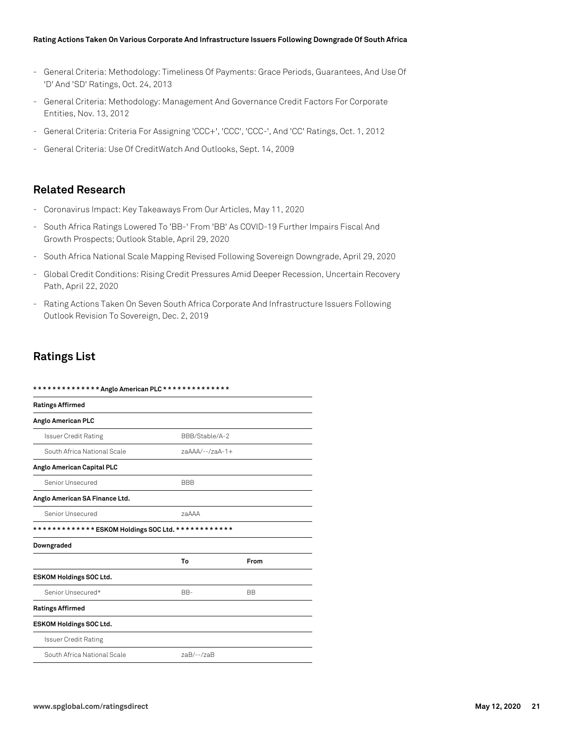- General Criteria: Methodology: Timeliness Of Payments: Grace Periods, Guarantees, And Use Of 'D' And 'SD' Ratings, Oct. 24, 2013
- General Criteria: Methodology: Management And Governance Credit Factors For Corporate Entities, Nov. 13, 2012
- General Criteria: Criteria For Assigning 'CCC+', 'CCC', 'CCC-', And 'CC' Ratings, Oct. 1, 2012
- General Criteria: Use Of CreditWatch And Outlooks, Sept. 14, 2009

# **Related Research**

- Coronavirus Impact: Key Takeaways From Our Articles, May 11, 2020
- South Africa Ratings Lowered To 'BB-' From 'BB' As COVID-19 Further Impairs Fiscal And Growth Prospects; Outlook Stable, April 29, 2020
- South Africa National Scale Mapping Revised Following Sovereign Downgrade, April 29, 2020
- Global Credit Conditions: Rising Credit Pressures Amid Deeper Recession, Uncertain Recovery Path, April 22, 2020
- Rating Actions Taken On Seven South Africa Corporate And Infrastructure Issuers Following Outlook Revision To Sovereign, Dec. 2, 2019

# **Ratings List**

| ************** Anglo American PLC **************   |                   |           |  |  |
|----------------------------------------------------|-------------------|-----------|--|--|
| <b>Ratings Affirmed</b>                            |                   |           |  |  |
| Anglo American PLC                                 |                   |           |  |  |
| <b>Issuer Credit Rating</b>                        | BBB/Stable/A-2    |           |  |  |
| South Africa National Scale                        | $7aAAA/--/7aA-1+$ |           |  |  |
| Anglo American Capital PLC                         |                   |           |  |  |
| Senior Unsecured                                   | <b>BBB</b>        |           |  |  |
| Anglo American SA Finance Ltd.                     |                   |           |  |  |
| Senior Unsecured                                   | <b>78AAA</b>      |           |  |  |
| ************* ESKOM Holdings SOC Ltd. ************ |                   |           |  |  |
| Downgraded                                         |                   |           |  |  |
|                                                    | To                | From      |  |  |
| <b>ESKOM Holdings SOC Ltd.</b>                     |                   |           |  |  |
| Senior Unsecured*                                  | BB-               | <b>BB</b> |  |  |
| <b>Ratings Affirmed</b>                            |                   |           |  |  |
| ESKOM Holdings SOC Ltd.                            |                   |           |  |  |
| <b>Issuer Credit Rating</b>                        |                   |           |  |  |
| South Africa National Scale                        | $zaB/-$ -/ $zaB$  |           |  |  |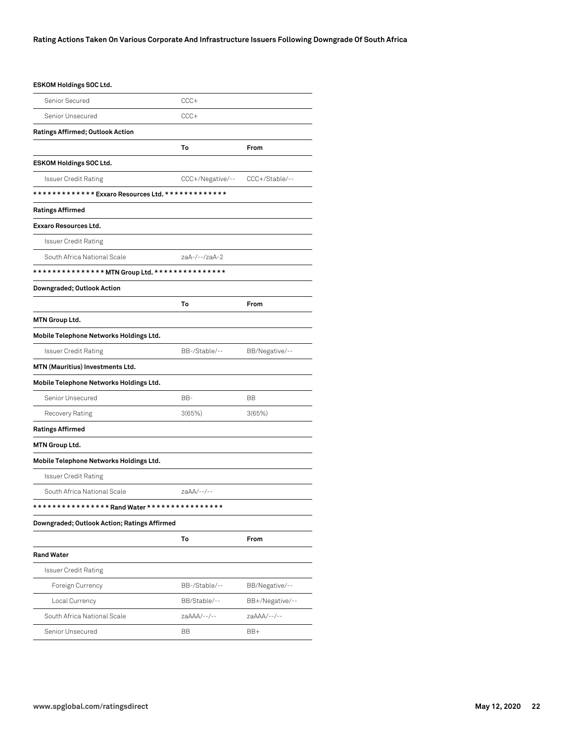### **ESKOM Holdings SOC Ltd.**

| Senior Secured                                    | CCC+                            |                 |  |
|---------------------------------------------------|---------------------------------|-----------------|--|
| Senior Unsecured                                  | CCC+                            |                 |  |
| Ratings Affirmed; Outlook Action                  |                                 |                 |  |
|                                                   | To                              | From            |  |
| <b>ESKOM Holdings SOC Ltd.</b>                    |                                 |                 |  |
| <b>Issuer Credit Rating</b>                       | CCC+/Negative/-- CCC+/Stable/-- |                 |  |
| ************* Exxaro Resources Ltd. ************* |                                 |                 |  |
| <b>Ratings Affirmed</b>                           |                                 |                 |  |
| <b>Exxaro Resources Ltd.</b>                      |                                 |                 |  |
| Issuer Credit Rating                              |                                 |                 |  |
| South Africa National Scale                       | zaA-/--/zaA-2                   |                 |  |
| ************** MTN Group Ltd. ****************    |                                 |                 |  |
| Downgraded; Outlook Action                        |                                 |                 |  |
|                                                   | To                              | From            |  |
| <b>MTN Group Ltd.</b>                             |                                 |                 |  |
| Mobile Telephone Networks Holdings Ltd.           |                                 |                 |  |
| <b>Issuer Credit Rating</b>                       | BB-/Stable/--                   | BB/Negative/--  |  |
| MTN (Mauritius) Investments Ltd.                  |                                 |                 |  |
| Mobile Telephone Networks Holdings Ltd.           |                                 |                 |  |
| Senior Unsecured                                  | BB-                             | ВB              |  |
| Recovery Rating                                   | 3(65%)                          | 3(65%)          |  |
| <b>Ratings Affirmed</b>                           |                                 |                 |  |
| <b>MTN Group Ltd.</b>                             |                                 |                 |  |
| Mobile Telephone Networks Holdings Ltd.           |                                 |                 |  |
| Issuer Credit Rating                              |                                 |                 |  |
| South Africa National Scale                       | $zaAA/--$ /--                   |                 |  |
| ************** Rand Water ****************        |                                 |                 |  |
| Downgraded; Outlook Action; Ratings Affirmed      |                                 |                 |  |
|                                                   | To                              | From            |  |
| <b>Rand Water</b>                                 |                                 |                 |  |
| Issuer Credit Rating                              |                                 |                 |  |
| Foreign Currency                                  | BB-/Stable/--                   | BB/Negative/--  |  |
| Local Currency                                    | BB/Stable/--                    | BB+/Negative/-- |  |
| South Africa National Scale                       | zaAAA/--/--                     | zaAAA/--/--     |  |
| Senior Unsecured                                  | BB                              | BB+             |  |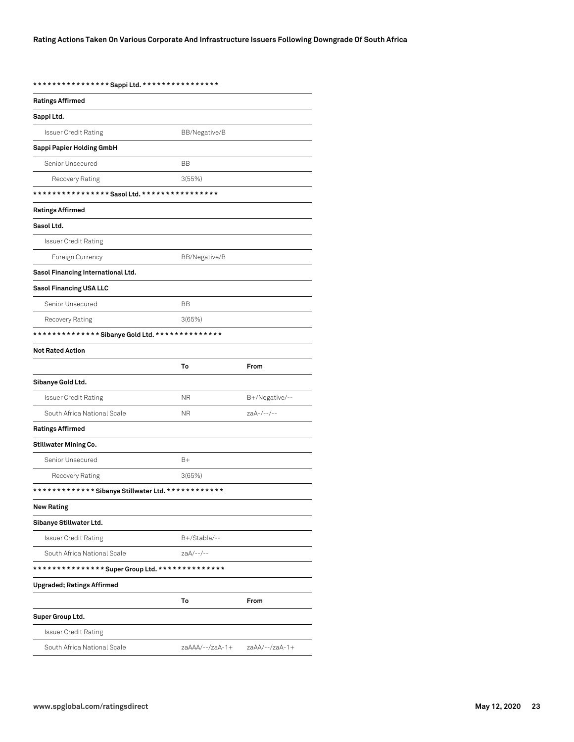**\* \* \* \* \* \* \* \* \* \* \* \* \* \* \* \* Sappi Ltd. \* \* \* \* \* \* \* \* \* \* \* \* \* \* \* \***

| <b>Ratings Affirmed</b>                            |                 |                |  |
|----------------------------------------------------|-----------------|----------------|--|
| Sappi Ltd.                                         |                 |                |  |
| <b>Issuer Credit Rating</b>                        | BB/Negative/B   |                |  |
| Sappi Papier Holding GmbH                          |                 |                |  |
| Senior Unsecured                                   | <b>BB</b>       |                |  |
| Recovery Rating                                    | 3(55%)          |                |  |
|                                                    |                 |                |  |
| <b>Ratings Affirmed</b>                            |                 |                |  |
| Sasol Ltd.                                         |                 |                |  |
| <b>Issuer Credit Rating</b>                        |                 |                |  |
| Foreign Currency                                   | BB/Negative/B   |                |  |
| Sasol Financing International Ltd.                 |                 |                |  |
| Sasol Financing USA LLC                            |                 |                |  |
| Senior Unsecured                                   | BB              |                |  |
| Recovery Rating                                    | 3(65%)          |                |  |
| ************** Sibanye Gold Ltd. **************    |                 |                |  |
| <b>Not Rated Action</b>                            |                 |                |  |
|                                                    | To              | From           |  |
| Sibanye Gold Ltd.                                  |                 |                |  |
| Issuer Credit Rating                               | ΝR              | B+/Negative/-- |  |
| South Africa National Scale                        | <b>NR</b>       | $zaA-/--/--$   |  |
| <b>Ratings Affirmed</b>                            |                 |                |  |
| <b>Stillwater Mining Co.</b>                       |                 |                |  |
| Senior Unsecured                                   | $B+$            |                |  |
| Recovery Rating                                    | 3(65%)          |                |  |
| ************* Sibanye Stillwater Ltd. ************ |                 |                |  |
| <b>New Rating</b>                                  |                 |                |  |
| Sibanye Stillwater Ltd.                            |                 |                |  |
| <b>Issuer Credit Rating</b>                        | B+/Stable/--    |                |  |
| South Africa National Scale                        | zaA/--/--       |                |  |
| ************** Super Group Ltd. ***************    |                 |                |  |
| <b>Upgraded; Ratings Affirmed</b>                  |                 |                |  |
|                                                    | To              | From           |  |
| Super Group Ltd.                                   |                 |                |  |
| <b>Issuer Credit Rating</b>                        |                 |                |  |
| South Africa National Scale                        | zaAAA/--/zaA-1+ | zaAA/--/zaA-1+ |  |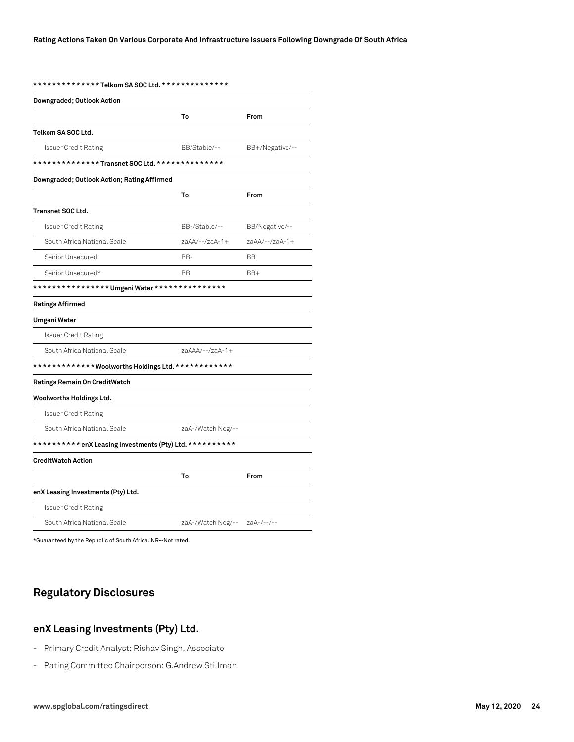**\* \* \* \* \* \* \* \* \* \* \* \* \* \* Telkom SA SOC Ltd. \* \* \* \* \* \* \* \* \* \* \* \* \* \***

| Downgraded; Outlook Action                               |                   |                 |  |
|----------------------------------------------------------|-------------------|-----------------|--|
|                                                          | To                | From            |  |
| Telkom SA SOC Ltd.                                       |                   |                 |  |
| <b>Issuer Credit Rating</b>                              | BB/Stable/--      | BB+/Negative/-- |  |
| **************Transnet SOC Ltd. ***************          |                   |                 |  |
| Downgraded; Outlook Action; Rating Affirmed              |                   |                 |  |
|                                                          | To                | From            |  |
| Transnet SOC Ltd.                                        |                   |                 |  |
| <b>Issuer Credit Rating</b>                              | BB-/Stable/--     | BB/Negative/--  |  |
| South Africa National Scale                              | zaAA/--/zaA-1+    | zaAA/--/zaA-1+  |  |
| Senior Unsecured                                         | BB-               | <b>BB</b>       |  |
| Senior Unsecured*                                        | BВ                | BB+             |  |
| *************** Umgeni Water ***************             |                   |                 |  |
| <b>Ratings Affirmed</b>                                  |                   |                 |  |
| Umgeni Water                                             |                   |                 |  |
| <b>Issuer Credit Rating</b>                              |                   |                 |  |
| South Africa National Scale                              | zaAAA/--/zaA-1+   |                 |  |
| ************ Woolworths Holdings Ltd. ************       |                   |                 |  |
| Ratings Remain On CreditWatch                            |                   |                 |  |
| Woolworths Holdings Ltd.                                 |                   |                 |  |
| <b>Issuer Credit Rating</b>                              |                   |                 |  |
| South Africa National Scale                              | zaA-/Watch Neg/-- |                 |  |
| ********** enX Leasing Investments (Pty) Ltd. ********** |                   |                 |  |
| <b>CreditWatch Action</b>                                |                   |                 |  |
|                                                          | To                | From            |  |
| enX Leasing Investments (Pty) Ltd.                       |                   |                 |  |
| <b>Issuer Credit Rating</b>                              |                   |                 |  |
| South Africa National Scale                              | zaA-/Watch Neg/-- | $zaA-/--/--$    |  |

\*Guaranteed by the Republic of South Africa. NR--Not rated.

# **Regulatory Disclosures**

# **enX Leasing Investments (Pty) Ltd.**

- Primary Credit Analyst: Rishav Singh, Associate
- Rating Committee Chairperson: G.Andrew Stillman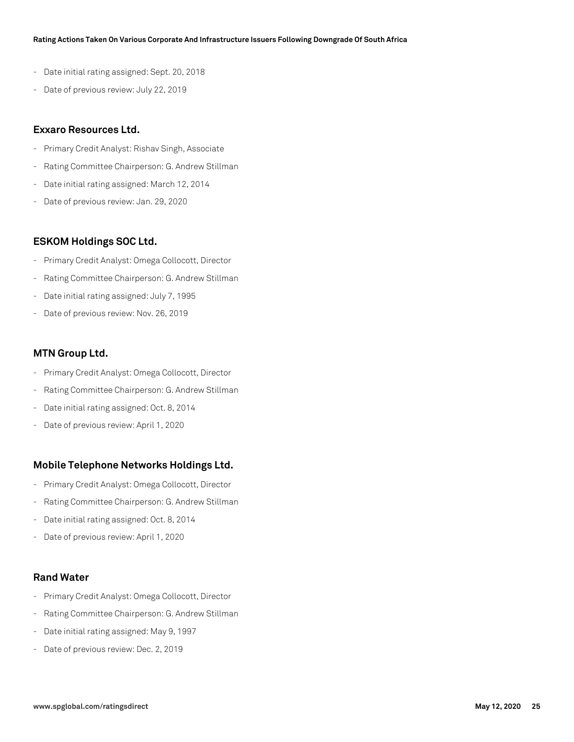- Date initial rating assigned: Sept. 20, 2018
- Date of previous review: July 22, 2019

### **Exxaro Resources Ltd.**

- Primary Credit Analyst: Rishav Singh, Associate
- Rating Committee Chairperson: G. Andrew Stillman
- Date initial rating assigned: March 12, 2014
- Date of previous review: Jan. 29, 2020

### **ESKOM Holdings SOC Ltd.**

- Primary Credit Analyst: Omega Collocott, Director
- Rating Committee Chairperson: G. Andrew Stillman
- Date initial rating assigned: July 7, 1995
- Date of previous review: Nov. 26, 2019

### **MTN Group Ltd.**

- Primary Credit Analyst: Omega Collocott, Director
- Rating Committee Chairperson: G. Andrew Stillman
- Date initial rating assigned: Oct. 8, 2014
- Date of previous review: April 1, 2020

### **Mobile Telephone Networks Holdings Ltd.**

- Primary Credit Analyst: Omega Collocott, Director
- Rating Committee Chairperson: G. Andrew Stillman
- Date initial rating assigned: Oct. 8, 2014
- Date of previous review: April 1, 2020

# **Rand Water**

- Primary Credit Analyst: Omega Collocott, Director
- Rating Committee Chairperson: G. Andrew Stillman
- Date initial rating assigned: May 9, 1997
- Date of previous review: Dec. 2, 2019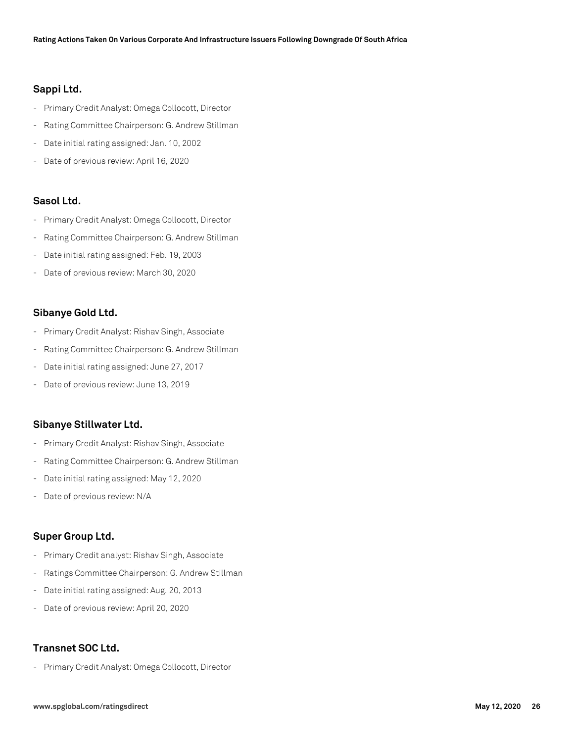### **Sappi Ltd.**

- Primary Credit Analyst: Omega Collocott, Director
- Rating Committee Chairperson: G. Andrew Stillman
- Date initial rating assigned: Jan. 10, 2002
- Date of previous review: April 16, 2020

### **Sasol Ltd.**

- Primary Credit Analyst: Omega Collocott, Director
- Rating Committee Chairperson: G. Andrew Stillman
- Date initial rating assigned: Feb. 19, 2003
- Date of previous review: March 30, 2020

### **Sibanye Gold Ltd.**

- Primary Credit Analyst: Rishav Singh, Associate
- Rating Committee Chairperson: G. Andrew Stillman
- Date initial rating assigned: June 27, 2017
- Date of previous review: June 13, 2019

### **Sibanye Stillwater Ltd.**

- Primary Credit Analyst: Rishav Singh, Associate
- Rating Committee Chairperson: G. Andrew Stillman
- Date initial rating assigned: May 12, 2020
- Date of previous review: N/A

### **Super Group Ltd.**

- Primary Credit analyst: Rishav Singh, Associate
- Ratings Committee Chairperson: G. Andrew Stillman
- Date initial rating assigned: Aug. 20, 2013
- Date of previous review: April 20, 2020

# **Transnet SOC Ltd.**

- Primary Credit Analyst: Omega Collocott, Director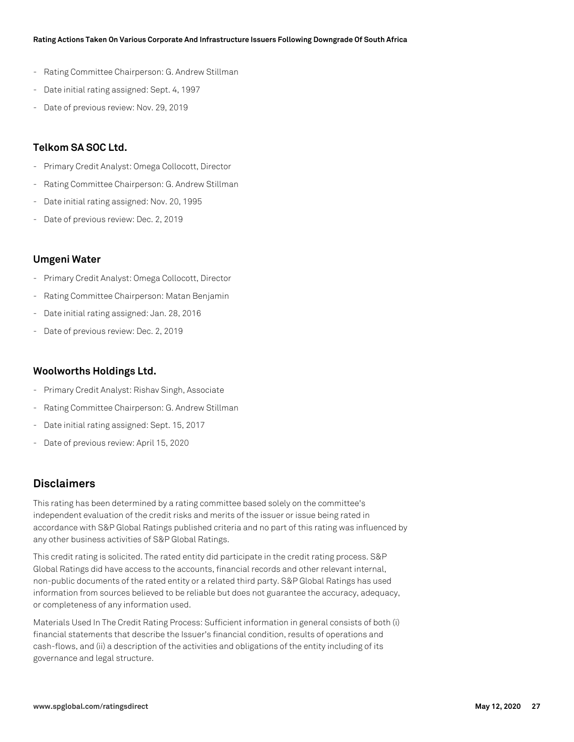- Rating Committee Chairperson: G. Andrew Stillman
- Date initial rating assigned: Sept. 4, 1997
- Date of previous review: Nov. 29, 2019

### **Telkom SA SOC Ltd.**

- Primary Credit Analyst: Omega Collocott, Director
- Rating Committee Chairperson: G. Andrew Stillman
- Date initial rating assigned: Nov. 20, 1995
- Date of previous review: Dec. 2, 2019

### **Umgeni Water**

- Primary Credit Analyst: Omega Collocott, Director
- Rating Committee Chairperson: Matan Benjamin
- Date initial rating assigned: Jan. 28, 2016
- Date of previous review: Dec. 2, 2019

### **Woolworths Holdings Ltd.**

- Primary Credit Analyst: Rishav Singh, Associate
- Rating Committee Chairperson: G. Andrew Stillman
- Date initial rating assigned: Sept. 15, 2017
- Date of previous review: April 15, 2020

# **Disclaimers**

This rating has been determined by a rating committee based solely on the committee's independent evaluation of the credit risks and merits of the issuer or issue being rated in accordance with S&P Global Ratings published criteria and no part of this rating was influenced by any other business activities of S&P Global Ratings.

This credit rating is solicited. The rated entity did participate in the credit rating process. S&P Global Ratings did have access to the accounts, financial records and other relevant internal, non-public documents of the rated entity or a related third party. S&P Global Ratings has used information from sources believed to be reliable but does not guarantee the accuracy, adequacy, or completeness of any information used.

Materials Used In The Credit Rating Process: Sufficient information in general consists of both (i) financial statements that describe the Issuer's financial condition, results of operations and cash-flows, and (ii) a description of the activities and obligations of the entity including of its governance and legal structure.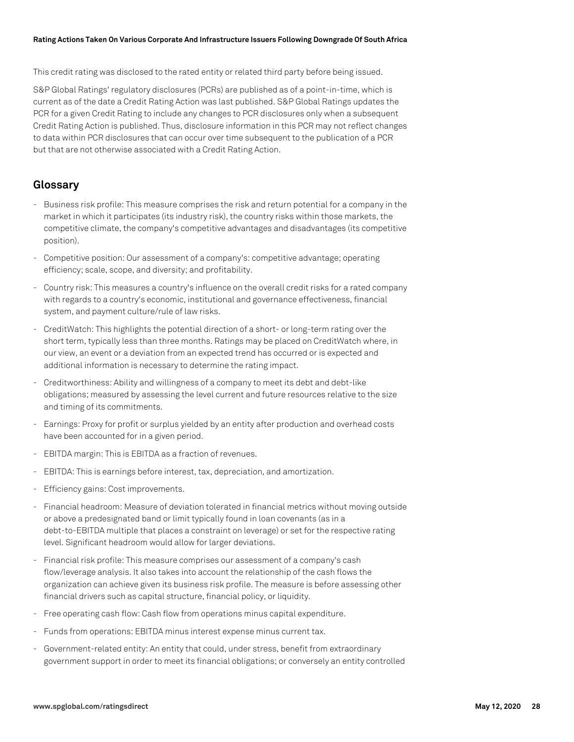This credit rating was disclosed to the rated entity or related third party before being issued.

S&P Global Ratings' regulatory disclosures (PCRs) are published as of a point-in-time, which is current as of the date a Credit Rating Action was last published. S&P Global Ratings updates the PCR for a given Credit Rating to include any changes to PCR disclosures only when a subsequent Credit Rating Action is published. Thus, disclosure information in this PCR may not reflect changes to data within PCR disclosures that can occur over time subsequent to the publication of a PCR but that are not otherwise associated with a Credit Rating Action.

# **Glossary**

- Business risk profile: This measure comprises the risk and return potential for a company in the market in which it participates (its industry risk), the country risks within those markets, the competitive climate, the company's competitive advantages and disadvantages (its competitive position).
- Competitive position: Our assessment of a company's: competitive advantage; operating efficiency; scale, scope, and diversity; and profitability.
- Country risk: This measures a country's influence on the overall credit risks for a rated company with regards to a country's economic, institutional and governance effectiveness, financial system, and payment culture/rule of law risks.
- CreditWatch: This highlights the potential direction of a short- or long-term rating over the short term, typically less than three months. Ratings may be placed on CreditWatch where, in our view, an event or a deviation from an expected trend has occurred or is expected and additional information is necessary to determine the rating impact.
- Creditworthiness: Ability and willingness of a company to meet its debt and debt-like obligations; measured by assessing the level current and future resources relative to the size and timing of its commitments.
- Earnings: Proxy for profit or surplus yielded by an entity after production and overhead costs have been accounted for in a given period.
- EBITDA margin: This is EBITDA as a fraction of revenues.
- EBITDA: This is earnings before interest, tax, depreciation, and amortization.
- Efficiency gains: Cost improvements.
- Financial headroom: Measure of deviation tolerated in financial metrics without moving outside or above a predesignated band or limit typically found in loan covenants (as in a debt-to-EBITDA multiple that places a constraint on leverage) or set for the respective rating level. Significant headroom would allow for larger deviations.
- Financial risk profile: This measure comprises our assessment of a company's cash flow/leverage analysis. It also takes into account the relationship of the cash flows the organization can achieve given its business risk profile. The measure is before assessing other financial drivers such as capital structure, financial policy, or liquidity.
- Free operating cash flow: Cash flow from operations minus capital expenditure.
- Funds from operations: EBITDA minus interest expense minus current tax.
- Government-related entity: An entity that could, under stress, benefit from extraordinary government support in order to meet its financial obligations; or conversely an entity controlled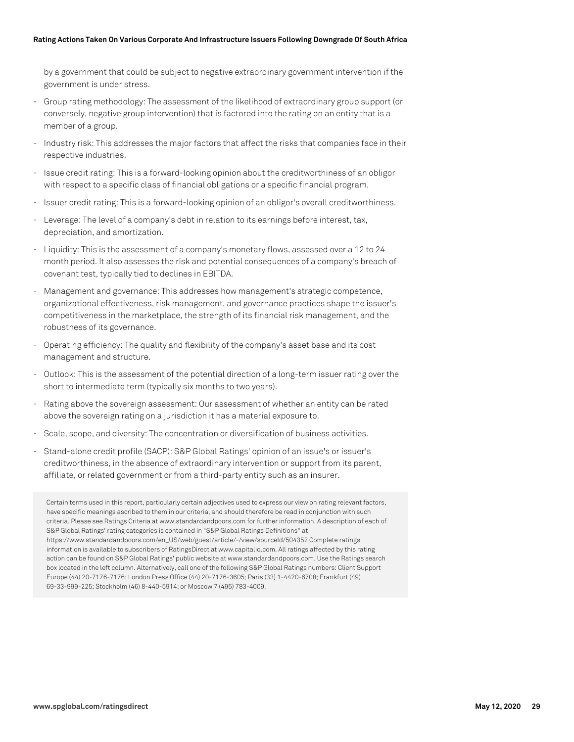by a government that could be subject to negative extraordinary government intervention if the government is under stress.

- Group rating methodology: The assessment of the likelihood of extraordinary group support (or conversely, negative group intervention) that is factored into the rating on an entity that is a member of a group.
- Industry risk: This addresses the major factors that affect the risks that companies face in their respective industries.
- Issue credit rating: This is a forward-looking opinion about the creditworthiness of an obligor with respect to a specific class of financial obligations or a specific financial program.
- Issuer credit rating: This is a forward-looking opinion of an obligor's overall creditworthiness.
- Leverage: The level of a company's debt in relation to its earnings before interest, tax, depreciation, and amortization.
- Liquidity: This is the assessment of a company's monetary flows, assessed over a 12 to 24 month period. It also assesses the risk and potential consequences of a company's breach of covenant test, typically tied to declines in EBITDA.
- Management and governance: This addresses how management's strategic competence, organizational effectiveness, risk management, and governance practices shape the issuer's competitiveness in the marketplace, the strength of its financial risk management, and the robustness of its governance.
- Operating efficiency: The quality and flexibility of the company's asset base and its cost management and structure.
- Outlook: This is the assessment of the potential direction of a long-term issuer rating over the short to intermediate term (typically six months to two years).
- Rating above the sovereign assessment: Our assessment of whether an entity can be rated above the sovereign rating on a jurisdiction it has a material exposure to.
- Scale, scope, and diversity: The concentration or diversification of business activities.
- Stand-alone credit profile (SACP): S&P Global Ratings' opinion of an issue's or issuer's creditworthiness, in the absence of extraordinary intervention or support from its parent, affiliate, or related government or from a third-party entity such as an insurer.

Certain terms used in this report, particularly certain adjectives used to express our view on rating relevant factors, have specific meanings ascribed to them in our criteria, and should therefore be read in conjunction with such criteria. Please see Ratings Criteria at www.standardandpoors.com for further information. A description of each of S&P Global Ratings' rating categories is contained in "S&P Global Ratings Definitions" at https://www.standardandpoors.com/en\_US/web/guest/article/-/view/sourceId/504352 Complete ratings information is available to subscribers of RatingsDirect at www.capitaliq.com. All ratings affected by this rating action can be found on S&P Global Ratings' public website at www.standardandpoors.com. Use the Ratings search box located in the left column. Alternatively, call one of the following S&P Global Ratings numbers: Client Support Europe (44) 20-7176-7176; London Press Office (44) 20-7176-3605; Paris (33) 1-4420-6708; Frankfurt (49) 69-33-999-225; Stockholm (46) 8-440-5914; or Moscow 7 (495) 783-4009.